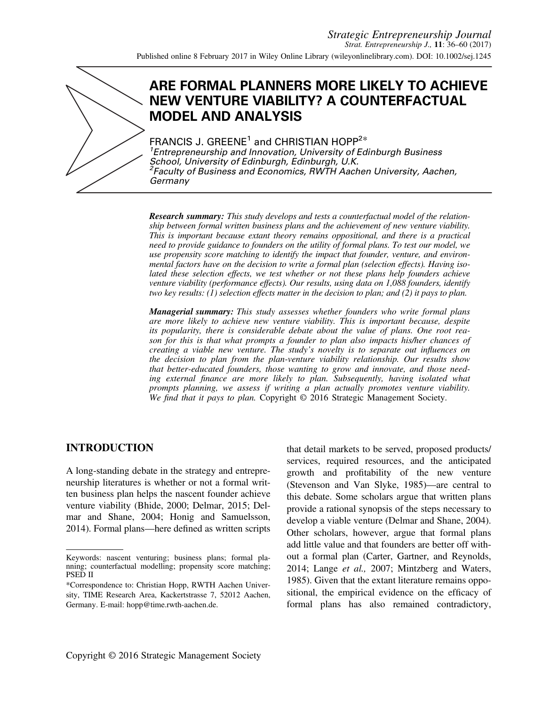

# **ARE FORMAL PLANNERS MORE LIKELY TO ACHIEVE NEW VENTURE VIABILITY? A COUNTERFACTUAL MODEL AND ANALYSIS**

FRANCIS J. GREENE<sup>1</sup> and CHRISTIAN HOPP<sup>2\*</sup> *1 Entrepreneurship and Innovation, University of Edinburgh Business School, University of Edinburgh, Edinburgh, U.K. 2 Faculty of Business and Economics, RWTH Aachen University, Aachen, Germany*

*Research summary: This study develops and tests a counterfactual model of the relation-ship between formal written business plans and the achievement of new venture viability. This is important because extant theory remains oppositional, and there is a practical need to provide guidance to founders on the utility of formal plans. To test our model, we use propensity score matching to identify the impact that founder, venture, and environmental factors have on the decision to write a formal plan (selection effects). Having isolated these selection effects, we test whether or not these plans help founders achieve venture viability (performance effects). Our results, using data on 1,088 founders, identify two key results: (1) selection effects matter in the decision to plan; and (2) it pays to plan.*

*Managerial summary: This study assesses whether founders who write formal plans are more likely to achieve new venture viability. This is important because, despite its popularity, there is considerable debate about the value of plans. One root reason for this is that what prompts a founder to plan also impacts his/her chances of creating a viable new venture. The study's novelty is to separate out influences on the decision to plan from the plan-venture viability relationship. Our results show that better-educated founders, those wanting to grow and innovate, and those needing external finance are more likely to plan. Subsequently, having isolated what prompts planning, we assess if writing a plan actually promotes venture viability. We find that it pays to plan.* Copyright © 2016 Strategic Management Society.

## **INTRODUCTION**

A long-standing debate in the strategy and entrepreneurship literatures is whether or not a formal written business plan helps the nascent founder achieve venture viability (Bhide, 2000; Delmar, 2015; Delmar and Shane, 2004; Honig and Samuelsson, 2014). Formal plans—here defined as written scripts

that detail markets to be served, proposed products/ services, required resources, and the anticipated growth and profitability of the new venture (Stevenson and Van Slyke, 1985)—are central to this debate. Some scholars argue that written plans provide a rational synopsis of the steps necessary to develop a viable venture (Delmar and Shane, 2004). Other scholars, however, argue that formal plans add little value and that founders are better off without a formal plan (Carter, Gartner, and Reynolds, 2014; Lange *et al.,* 2007; Mintzberg and Waters, 1985). Given that the extant literature remains oppositional, the empirical evidence on the efficacy of formal plans has also remained contradictory,

Keywords: nascent venturing; business plans; formal planning; counterfactual modelling; propensity score matching; PSED II

<sup>\*</sup>Correspondence to: Christian Hopp, RWTH Aachen University, TIME Research Area, Kackertstrasse 7, 52012 Aachen, Germany. E-mail: [hopp@time.rwth-aachen.de.](mailto:hopp@time.rwth-aachen.de)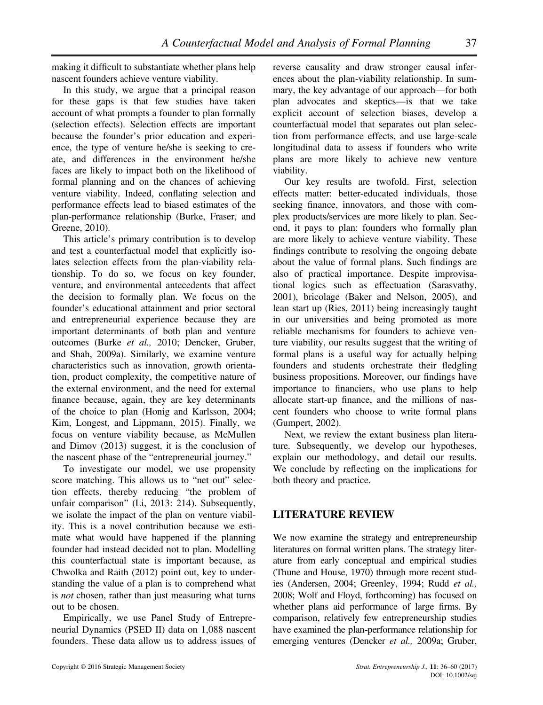making it difficult to substantiate whether plans help nascent founders achieve venture viability.

In this study, we argue that a principal reason for these gaps is that few studies have taken account of what prompts a founder to plan formally (selection effects). Selection effects are important because the founder's prior education and experience, the type of venture he/she is seeking to create, and differences in the environment he/she faces are likely to impact both on the likelihood of formal planning and on the chances of achieving venture viability. Indeed, conflating selection and performance effects lead to biased estimates of the plan-performance relationship (Burke, Fraser, and Greene, 2010).

This article's primary contribution is to develop and test a counterfactual model that explicitly isolates selection effects from the plan-viability relationship. To do so, we focus on key founder, venture, and environmental antecedents that affect the decision to formally plan. We focus on the founder's educational attainment and prior sectoral and entrepreneurial experience because they are important determinants of both plan and venture outcomes (Burke *et al.,* 2010; Dencker, Gruber, and Shah, 2009a). Similarly, we examine venture characteristics such as innovation, growth orientation, product complexity, the competitive nature of the external environment, and the need for external finance because, again, they are key determinants of the choice to plan (Honig and Karlsson, 2004; Kim, Longest, and Lippmann, 2015). Finally, we focus on venture viability because, as McMullen and Dimov (2013) suggest, it is the conclusion of the nascent phase of the "entrepreneurial journey."

To investigate our model, we use propensity score matching. This allows us to "net out" selection effects, thereby reducing "the problem of unfair comparison" (Li, 2013: 214). Subsequently, we isolate the impact of the plan on venture viability. This is a novel contribution because we estimate what would have happened if the planning founder had instead decided not to plan. Modelling this counterfactual state is important because, as Chwolka and Raith (2012) point out, key to understanding the value of a plan is to comprehend what is *not* chosen, rather than just measuring what turns out to be chosen.

Empirically, we use Panel Study of Entrepreneurial Dynamics (PSED II) data on 1,088 nascent founders. These data allow us to address issues of reverse causality and draw stronger causal inferences about the plan-viability relationship. In summary, the key advantage of our approach—for both plan advocates and skeptics—is that we take explicit account of selection biases, develop a counterfactual model that separates out plan selection from performance effects, and use large-scale longitudinal data to assess if founders who write plans are more likely to achieve new venture viability.

Our key results are twofold. First, selection effects matter: better-educated individuals, those seeking finance, innovators, and those with complex products/services are more likely to plan. Second, it pays to plan: founders who formally plan are more likely to achieve venture viability. These findings contribute to resolving the ongoing debate about the value of formal plans. Such findings are also of practical importance. Despite improvisational logics such as effectuation (Sarasvathy, 2001), bricolage (Baker and Nelson, 2005), and lean start up (Ries, 2011) being increasingly taught in our universities and being promoted as more reliable mechanisms for founders to achieve venture viability, our results suggest that the writing of formal plans is a useful way for actually helping founders and students orchestrate their fledgling business propositions. Moreover, our findings have importance to financiers, who use plans to help allocate start-up finance, and the millions of nascent founders who choose to write formal plans (Gumpert, 2002).

Next, we review the extant business plan literature. Subsequently, we develop our hypotheses, explain our methodology, and detail our results. We conclude by reflecting on the implications for both theory and practice.

## **LITERATURE REVIEW**

We now examine the strategy and entrepreneurship literatures on formal written plans. The strategy literature from early conceptual and empirical studies (Thune and House, 1970) through more recent studies (Andersen, 2004; Greenley, 1994; Rudd *et al.,* 2008; Wolf and Floyd, forthcoming) has focused on whether plans aid performance of large firms. By comparison, relatively few entrepreneurship studies have examined the plan-performance relationship for emerging ventures (Dencker *et al.,* 2009a; Gruber,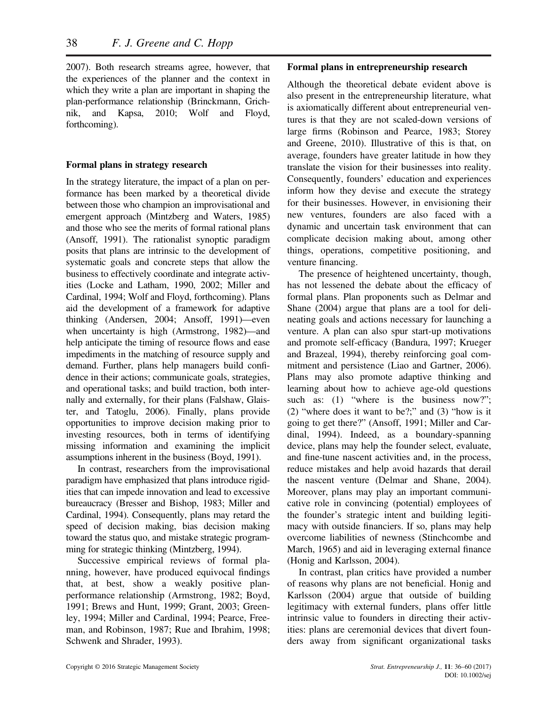2007). Both research streams agree, however, that the experiences of the planner and the context in which they write a plan are important in shaping the plan-performance relationship (Brinckmann, Grichnik, and Kapsa, 2010; Wolf and Floyd, forthcoming).

## **Formal plans in strategy research**

In the strategy literature, the impact of a plan on performance has been marked by a theoretical divide between those who champion an improvisational and emergent approach (Mintzberg and Waters, 1985) and those who see the merits of formal rational plans (Ansoff, 1991). The rationalist synoptic paradigm posits that plans are intrinsic to the development of systematic goals and concrete steps that allow the business to effectively coordinate and integrate activities (Locke and Latham, 1990, 2002; Miller and Cardinal, 1994; Wolf and Floyd, forthcoming). Plans aid the development of a framework for adaptive thinking (Andersen, 2004; Ansoff, 1991)—even when uncertainty is high (Armstrong, 1982)—and help anticipate the timing of resource flows and ease impediments in the matching of resource supply and demand. Further, plans help managers build confidence in their actions; communicate goals, strategies, and operational tasks; and build traction, both internally and externally, for their plans (Falshaw, Glaister, and Tatoglu, 2006). Finally, plans provide opportunities to improve decision making prior to investing resources, both in terms of identifying missing information and examining the implicit assumptions inherent in the business (Boyd, 1991).

In contrast, researchers from the improvisational paradigm have emphasized that plans introduce rigidities that can impede innovation and lead to excessive bureaucracy (Bresser and Bishop, 1983; Miller and Cardinal, 1994). Consequently, plans may retard the speed of decision making, bias decision making toward the status quo, and mistake strategic programming for strategic thinking (Mintzberg, 1994).

Successive empirical reviews of formal planning, however, have produced equivocal findings that, at best, show a weakly positive planperformance relationship (Armstrong, 1982; Boyd, 1991; Brews and Hunt, 1999; Grant, 2003; Greenley, 1994; Miller and Cardinal, 1994; Pearce, Freeman, and Robinson, 1987; Rue and Ibrahim, 1998; Schwenk and Shrader, 1993).

#### **Formal plans in entrepreneurship research**

Although the theoretical debate evident above is also present in the entrepreneurship literature, what is axiomatically different about entrepreneurial ventures is that they are not scaled-down versions of large firms (Robinson and Pearce, 1983; Storey and Greene, 2010). Illustrative of this is that, on average, founders have greater latitude in how they translate the vision for their businesses into reality. Consequently, founders' education and experiences inform how they devise and execute the strategy for their businesses. However, in envisioning their new ventures, founders are also faced with a dynamic and uncertain task environment that can complicate decision making about, among other things, operations, competitive positioning, and venture financing.

The presence of heightened uncertainty, though, has not lessened the debate about the efficacy of formal plans. Plan proponents such as Delmar and Shane (2004) argue that plans are a tool for delineating goals and actions necessary for launching a venture. A plan can also spur start-up motivations and promote self-efficacy (Bandura, 1997; Krueger and Brazeal, 1994), thereby reinforcing goal commitment and persistence (Liao and Gartner, 2006). Plans may also promote adaptive thinking and learning about how to achieve age-old questions such as: (1) "where is the business now?"; (2) "where does it want to be?;" and (3) "how is it going to get there?" (Ansoff, 1991; Miller and Cardinal, 1994). Indeed, as a boundary-spanning device, plans may help the founder select, evaluate, and fine-tune nascent activities and, in the process, reduce mistakes and help avoid hazards that derail the nascent venture (Delmar and Shane, 2004). Moreover, plans may play an important communicative role in convincing (potential) employees of the founder's strategic intent and building legitimacy with outside financiers. If so, plans may help overcome liabilities of newness (Stinchcombe and March, 1965) and aid in leveraging external finance (Honig and Karlsson, 2004).

In contrast, plan critics have provided a number of reasons why plans are not beneficial. Honig and Karlsson (2004) argue that outside of building legitimacy with external funders, plans offer little intrinsic value to founders in directing their activities: plans are ceremonial devices that divert founders away from significant organizational tasks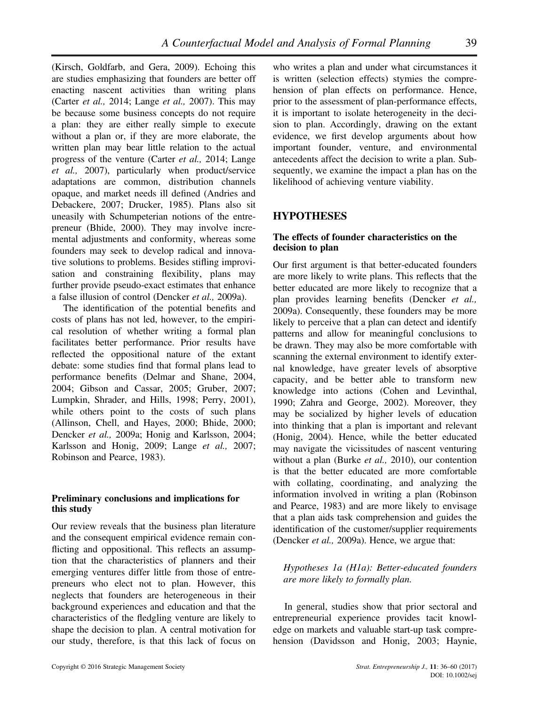(Kirsch, Goldfarb, and Gera, 2009). Echoing this are studies emphasizing that founders are better off enacting nascent activities than writing plans (Carter *et al.,* 2014; Lange *et al.,* 2007). This may be because some business concepts do not require a plan: they are either really simple to execute without a plan or, if they are more elaborate, the written plan may bear little relation to the actual progress of the venture (Carter *et al.,* 2014; Lange *et al.,* 2007), particularly when product/service adaptations are common, distribution channels opaque, and market needs ill defined (Andries and Debackere, 2007; Drucker, 1985). Plans also sit uneasily with Schumpeterian notions of the entrepreneur (Bhide, 2000). They may involve incremental adjustments and conformity, whereas some founders may seek to develop radical and innovative solutions to problems. Besides stifling improvisation and constraining flexibility, plans may further provide pseudo-exact estimates that enhance a false illusion of control (Dencker *et al.,* 2009a).

The identification of the potential benefits and costs of plans has not led, however, to the empirical resolution of whether writing a formal plan facilitates better performance. Prior results have reflected the oppositional nature of the extant debate: some studies find that formal plans lead to performance benefits (Delmar and Shane, 2004, 2004; Gibson and Cassar, 2005; Gruber, 2007; Lumpkin, Shrader, and Hills, 1998; Perry, 2001), while others point to the costs of such plans (Allinson, Chell, and Hayes, 2000; Bhide, 2000; Dencker *et al.,* 2009a; Honig and Karlsson, 2004; Karlsson and Honig, 2009; Lange *et al.,* 2007; Robinson and Pearce, 1983).

## **Preliminary conclusions and implications for this study**

Our review reveals that the business plan literature and the consequent empirical evidence remain conflicting and oppositional. This reflects an assumption that the characteristics of planners and their emerging ventures differ little from those of entrepreneurs who elect not to plan. However, this neglects that founders are heterogeneous in their background experiences and education and that the characteristics of the fledgling venture are likely to shape the decision to plan. A central motivation for our study, therefore, is that this lack of focus on

who writes a plan and under what circumstances it is written (selection effects) stymies the comprehension of plan effects on performance. Hence, prior to the assessment of plan-performance effects, it is important to isolate heterogeneity in the decision to plan. Accordingly, drawing on the extant evidence, we first develop arguments about how important founder, venture, and environmental antecedents affect the decision to write a plan. Subsequently, we examine the impact a plan has on the likelihood of achieving venture viability.

## **HYPOTHESES**

## **The effects of founder characteristics on the decision to plan**

Our first argument is that better-educated founders are more likely to write plans. This reflects that the better educated are more likely to recognize that a plan provides learning benefits (Dencker *et al.,* 2009a). Consequently, these founders may be more likely to perceive that a plan can detect and identify patterns and allow for meaningful conclusions to be drawn. They may also be more comfortable with scanning the external environment to identify external knowledge, have greater levels of absorptive capacity, and be better able to transform new knowledge into actions (Cohen and Levinthal, 1990; Zahra and George, 2002). Moreover, they may be socialized by higher levels of education into thinking that a plan is important and relevant (Honig, 2004). Hence, while the better educated may navigate the vicissitudes of nascent venturing without a plan (Burke *et al.,* 2010), our contention is that the better educated are more comfortable with collating, coordinating, and analyzing the information involved in writing a plan (Robinson and Pearce, 1983) and are more likely to envisage that a plan aids task comprehension and guides the identification of the customer/supplier requirements (Dencker *et al.,* 2009a). Hence, we argue that:

## *Hypotheses 1a (H1a): Better-educated founders are more likely to formally plan.*

In general, studies show that prior sectoral and entrepreneurial experience provides tacit knowledge on markets and valuable start-up task comprehension (Davidsson and Honig, 2003; Haynie,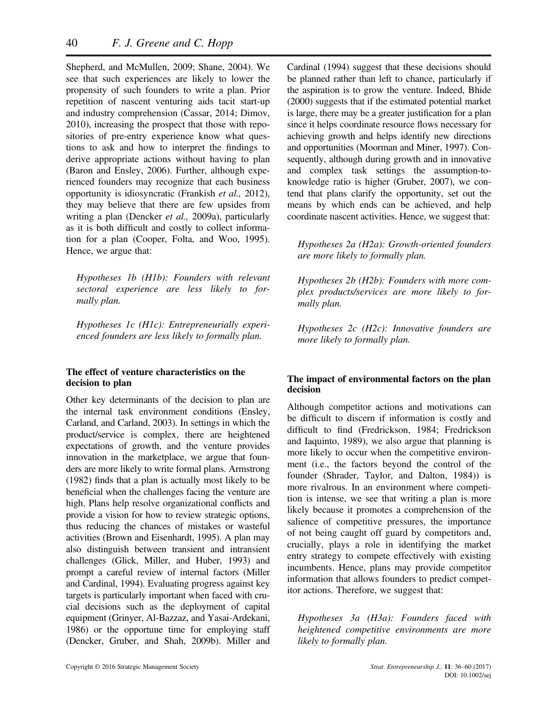Shepherd, and McMullen, 2009; Shane, 2004). We see that such experiences are likely to lower the propensity of such founders to write a plan. Prior repetition of nascent venturing aids tacit start-up and industry comprehension (Cassar, 2014; Dimov, 2010), increasing the prospect that those with repositories of pre-entry experience know what questions to ask and how to interpret the findings to derive appropriate actions without having to plan (Baron and Ensley, 2006). Further, although experienced founders may recognize that each business opportunity is idiosyncratic (Frankish *et al.,* 2012), they may believe that there are few upsides from writing a plan (Dencker *et al.,* 2009a), particularly as it is both difficult and costly to collect information for a plan (Cooper, Folta, and Woo, 1995). Hence, we argue that:

*Hypotheses 1b (H1b): Founders with relevant sectoral experience are less likely to formally plan.*

*Hypotheses 1c (H1c): Entrepreneurially experienced founders are less likely to formally plan.*

## **The effect of venture characteristics on the decision to plan**

Other key determinants of the decision to plan are the internal task environment conditions (Ensley, Carland, and Carland, 2003). In settings in which the product/service is complex, there are heightened expectations of growth, and the venture provides innovation in the marketplace, we argue that founders are more likely to write formal plans. Armstrong (1982) finds that a plan is actually most likely to be beneficial when the challenges facing the venture are high. Plans help resolve organizational conflicts and provide a vision for how to review strategic options, thus reducing the chances of mistakes or wasteful activities (Brown and Eisenhardt, 1995). A plan may also distinguish between transient and intransient challenges (Glick, Miller, and Huber, 1993) and prompt a careful review of internal factors (Miller and Cardinal, 1994). Evaluating progress against key targets is particularly important when faced with crucial decisions such as the deployment of capital equipment (Grinyer, Al-Bazzaz, and Yasai-Ardekani, 1986) or the opportune time for employing staff (Dencker, Gruber, and Shah, 2009b). Miller and Cardinal (1994) suggest that these decisions should be planned rather than left to chance, particularly if the aspiration is to grow the venture. Indeed, Bhide (2000) suggests that if the estimated potential market is large, there may be a greater justification for a plan since it helps coordinate resource flows necessary for achieving growth and helps identify new directions and opportunities (Moorman and Miner, 1997). Consequently, although during growth and in innovative and complex task settings the assumption-toknowledge ratio is higher (Gruber, 2007), we contend that plans clarify the opportunity, set out the means by which ends can be achieved, and help coordinate nascent activities. Hence, we suggest that:

*Hypotheses 2a (H2a): Growth-oriented founders are more likely to formally plan.*

*Hypotheses 2b (H2b): Founders with more complex products/services are more likely to formally plan.*

*Hypotheses 2c (H2c): Innovative founders are more likely to formally plan.*

## **The impact of environmental factors on the plan decision**

Although competitor actions and motivations can be difficult to discern if information is costly and difficult to find (Fredrickson, 1984; Fredrickson and Iaquinto, 1989), we also argue that planning is more likely to occur when the competitive environment (i.e., the factors beyond the control of the founder (Shrader, Taylor, and Dalton, 1984)) is more rivalrous. In an environment where competition is intense, we see that writing a plan is more likely because it promotes a comprehension of the salience of competitive pressures, the importance of not being caught off guard by competitors and, crucially, plays a role in identifying the market entry strategy to compete effectively with existing incumbents. Hence, plans may provide competitor information that allows founders to predict competitor actions. Therefore, we suggest that:

*Hypotheses 3a (H3a): Founders faced with heightened competitive environments are more likely to formally plan.*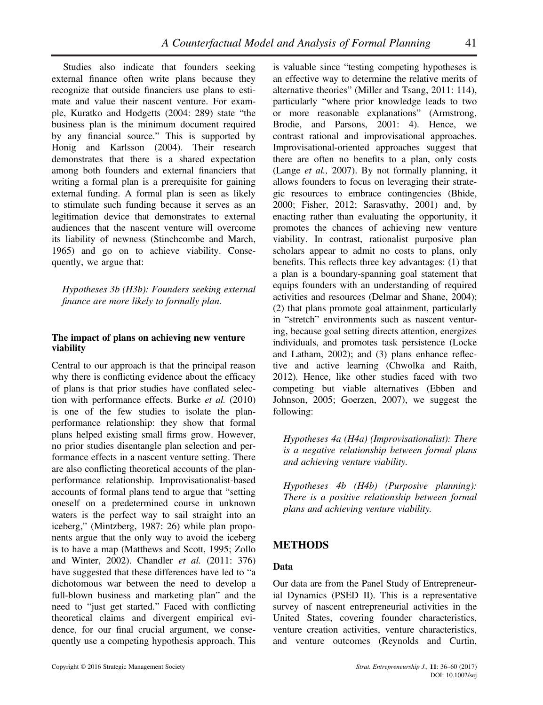Studies also indicate that founders seeking external finance often write plans because they recognize that outside financiers use plans to estimate and value their nascent venture. For example, Kuratko and Hodgetts (2004: 289) state "the business plan is the minimum document required by any financial source." This is supported by Honig and Karlsson (2004). Their research demonstrates that there is a shared expectation among both founders and external financiers that writing a formal plan is a prerequisite for gaining external funding. A formal plan is seen as likely to stimulate such funding because it serves as an legitimation device that demonstrates to external audiences that the nascent venture will overcome its liability of newness (Stinchcombe and March, 1965) and go on to achieve viability. Consequently, we argue that:

*Hypotheses 3b (H3b): Founders seeking external finance are more likely to formally plan.*

## **The impact of plans on achieving new venture viability**

Central to our approach is that the principal reason why there is conflicting evidence about the efficacy of plans is that prior studies have conflated selection with performance effects. Burke *et al.* (2010) is one of the few studies to isolate the planperformance relationship: they show that formal plans helped existing small firms grow. However, no prior studies disentangle plan selection and performance effects in a nascent venture setting. There are also conflicting theoretical accounts of the planperformance relationship. Improvisationalist-based accounts of formal plans tend to argue that "setting oneself on a predetermined course in unknown waters is the perfect way to sail straight into an iceberg," (Mintzberg, 1987: 26) while plan proponents argue that the only way to avoid the iceberg is to have a map (Matthews and Scott, 1995; Zollo and Winter, 2002). Chandler *et al.* (2011: 376) have suggested that these differences have led to "a dichotomous war between the need to develop a full-blown business and marketing plan" and the need to "just get started." Faced with conflicting theoretical claims and divergent empirical evidence, for our final crucial argument, we consequently use a competing hypothesis approach. This is valuable since "testing competing hypotheses is an effective way to determine the relative merits of alternative theories" (Miller and Tsang, 2011: 114), particularly "where prior knowledge leads to two or more reasonable explanations" (Armstrong, Brodie, and Parsons, 2001: 4). Hence, we contrast rational and improvisational approaches. Improvisational-oriented approaches suggest that there are often no benefits to a plan, only costs (Lange *et al.,* 2007). By not formally planning, it allows founders to focus on leveraging their strategic resources to embrace contingencies (Bhide, 2000; Fisher, 2012; Sarasvathy, 2001) and, by enacting rather than evaluating the opportunity, it promotes the chances of achieving new venture viability. In contrast, rationalist purposive plan scholars appear to admit no costs to plans, only benefits. This reflects three key advantages: (1) that a plan is a boundary-spanning goal statement that equips founders with an understanding of required activities and resources (Delmar and Shane, 2004); (2) that plans promote goal attainment, particularly in "stretch" environments such as nascent venturing, because goal setting directs attention, energizes individuals, and promotes task persistence (Locke and Latham, 2002); and (3) plans enhance reflective and active learning (Chwolka and Raith, 2012). Hence, like other studies faced with two competing but viable alternatives (Ebben and Johnson, 2005; Goerzen, 2007), we suggest the following:

*Hypotheses 4a (H4a) (Improvisationalist): There is a negative relationship between formal plans and achieving venture viability.*

*Hypotheses 4b (H4b) (Purposive planning): There is a positive relationship between formal plans and achieving venture viability.*

## **METHODS**

## **Data**

Our data are from the Panel Study of Entrepreneurial Dynamics (PSED II). This is a representative survey of nascent entrepreneurial activities in the United States, covering founder characteristics, venture creation activities, venture characteristics, and venture outcomes (Reynolds and Curtin,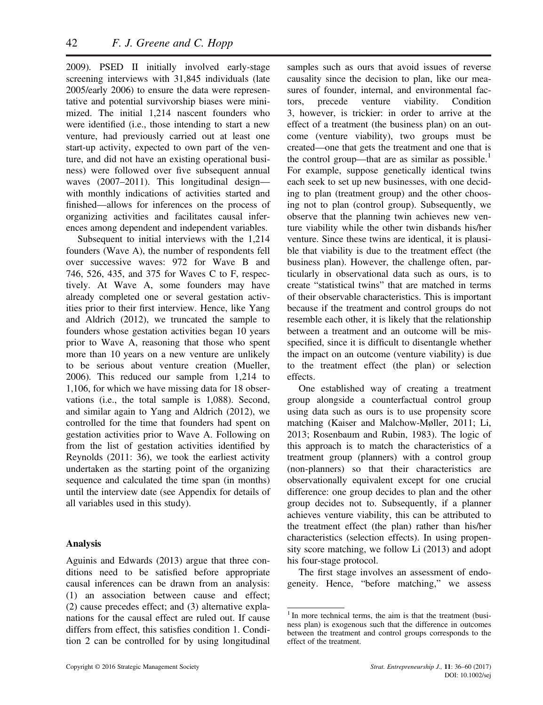2009). PSED II initially involved early-stage screening interviews with 31,845 individuals (late 2005/early 2006) to ensure the data were representative and potential survivorship biases were minimized. The initial 1,214 nascent founders who were identified (i.e., those intending to start a new venture, had previously carried out at least one start-up activity, expected to own part of the venture, and did not have an existing operational business) were followed over five subsequent annual waves (2007–2011). This longitudinal design with monthly indications of activities started and finished—allows for inferences on the process of organizing activities and facilitates causal inferences among dependent and independent variables.

Subsequent to initial interviews with the 1,214 founders (Wave A), the number of respondents fell over successive waves: 972 for Wave B and 746, 526, 435, and 375 for Waves C to F, respectively. At Wave A, some founders may have already completed one or several gestation activities prior to their first interview. Hence, like Yang and Aldrich (2012), we truncated the sample to founders whose gestation activities began 10 years prior to Wave A, reasoning that those who spent more than 10 years on a new venture are unlikely to be serious about venture creation (Mueller, 2006). This reduced our sample from 1,214 to 1,106, for which we have missing data for 18 observations (i.e., the total sample is 1,088). Second, and similar again to Yang and Aldrich (2012), we controlled for the time that founders had spent on gestation activities prior to Wave A. Following on from the list of gestation activities identified by Reynolds (2011: 36), we took the earliest activity undertaken as the starting point of the organizing sequence and calculated the time span (in months) until the interview date (see Appendix for details of all variables used in this study).

### **Analysis**

Aguinis and Edwards (2013) argue that three conditions need to be satisfied before appropriate causal inferences can be drawn from an analysis: (1) an association between cause and effect; (2) cause precedes effect; and (3) alternative explanations for the causal effect are ruled out. If cause differs from effect, this satisfies condition 1. Condition 2 can be controlled for by using longitudinal

samples such as ours that avoid issues of reverse causality since the decision to plan, like our measures of founder, internal, and environmental factors, precede venture viability. Condition 3, however, is trickier: in order to arrive at the effect of a treatment (the business plan) on an outcome (venture viability), two groups must be created—one that gets the treatment and one that is the control group—that are as similar as possible.<sup>1</sup> For example, suppose genetically identical twins each seek to set up new businesses, with one deciding to plan (treatment group) and the other choosing not to plan (control group). Subsequently, we observe that the planning twin achieves new venture viability while the other twin disbands his/her venture. Since these twins are identical, it is plausible that viability is due to the treatment effect (the business plan). However, the challenge often, particularly in observational data such as ours, is to create "statistical twins" that are matched in terms of their observable characteristics. This is important because if the treatment and control groups do not resemble each other, it is likely that the relationship between a treatment and an outcome will be misspecified, since it is difficult to disentangle whether the impact on an outcome (venture viability) is due to the treatment effect (the plan) or selection effects.

One established way of creating a treatment group alongside a counterfactual control group using data such as ours is to use propensity score matching (Kaiser and Malchow-Møller, 2011; Li, 2013; Rosenbaum and Rubin, 1983). The logic of this approach is to match the characteristics of a treatment group (planners) with a control group (non-planners) so that their characteristics are observationally equivalent except for one crucial difference: one group decides to plan and the other group decides not to. Subsequently, if a planner achieves venture viability, this can be attributed to the treatment effect (the plan) rather than his/her characteristics (selection effects). In using propensity score matching, we follow Li (2013) and adopt his four-stage protocol.

The first stage involves an assessment of endogeneity. Hence, "before matching," we assess

 $1$ In more technical terms, the aim is that the treatment (business plan) is exogenous such that the difference in outcomes between the treatment and control groups corresponds to the effect of the treatment.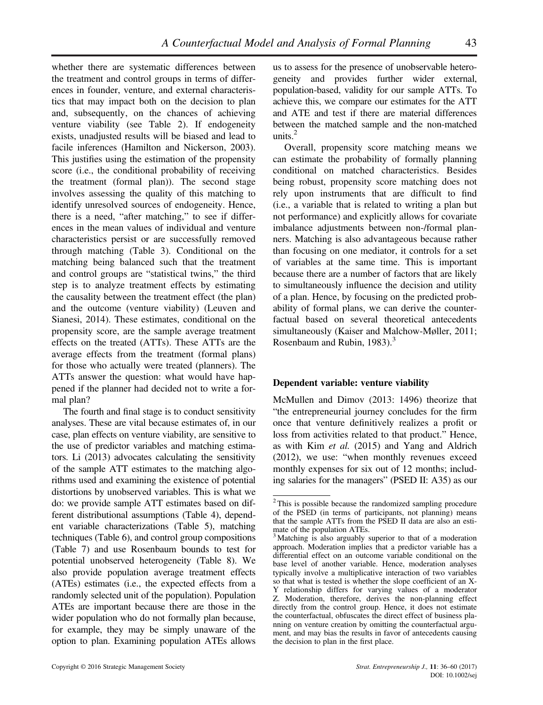whether there are systematic differences between the treatment and control groups in terms of differences in founder, venture, and external characteristics that may impact both on the decision to plan and, subsequently, on the chances of achieving venture viability (see Table 2). If endogeneity exists, unadjusted results will be biased and lead to facile inferences (Hamilton and Nickerson, 2003). This justifies using the estimation of the propensity score (i.e., the conditional probability of receiving the treatment (formal plan)). The second stage involves assessing the quality of this matching to identify unresolved sources of endogeneity. Hence, there is a need, "after matching," to see if differences in the mean values of individual and venture characteristics persist or are successfully removed through matching (Table 3). Conditional on the matching being balanced such that the treatment and control groups are "statistical twins," the third step is to analyze treatment effects by estimating the causality between the treatment effect (the plan) and the outcome (venture viability) (Leuven and Sianesi, 2014). These estimates, conditional on the propensity score, are the sample average treatment effects on the treated (ATTs). These ATTs are the average effects from the treatment (formal plans) for those who actually were treated (planners). The ATTs answer the question: what would have happened if the planner had decided not to write a formal plan?

The fourth and final stage is to conduct sensitivity analyses. These are vital because estimates of, in our case, plan effects on venture viability, are sensitive to the use of predictor variables and matching estimators. Li (2013) advocates calculating the sensitivity of the sample ATT estimates to the matching algorithms used and examining the existence of potential distortions by unobserved variables. This is what we do: we provide sample ATT estimates based on different distributional assumptions (Table 4), dependent variable characterizations (Table 5), matching techniques (Table 6), and control group compositions (Table 7) and use Rosenbaum bounds to test for potential unobserved heterogeneity (Table 8). We also provide population average treatment effects (ATEs) estimates (i.e., the expected effects from a randomly selected unit of the population). Population ATEs are important because there are those in the wider population who do not formally plan because, for example, they may be simply unaware of the option to plan. Examining population ATEs allows us to assess for the presence of unobservable heterogeneity and provides further wider external, population-based, validity for our sample ATTs. To achieve this, we compare our estimates for the ATT and ATE and test if there are material differences between the matched sample and the non-matched units. $<sup>2</sup>$ </sup>

Overall, propensity score matching means we can estimate the probability of formally planning conditional on matched characteristics. Besides being robust, propensity score matching does not rely upon instruments that are difficult to find (i.e., a variable that is related to writing a plan but not performance) and explicitly allows for covariate imbalance adjustments between non-/formal planners. Matching is also advantageous because rather than focusing on one mediator, it controls for a set of variables at the same time. This is important because there are a number of factors that are likely to simultaneously influence the decision and utility of a plan. Hence, by focusing on the predicted probability of formal plans, we can derive the counterfactual based on several theoretical antecedents simultaneously (Kaiser and Malchow-Møller, 2011; Rosenbaum and Rubin,  $1983$ ).<sup>3</sup>

### **Dependent variable: venture viability**

McMullen and Dimov (2013: 1496) theorize that "the entrepreneurial journey concludes for the firm once that venture definitively realizes a profit or loss from activities related to that product." Hence, as with Kim *et al.* (2015) and Yang and Aldrich (2012), we use: "when monthly revenues exceed monthly expenses for six out of 12 months; including salaries for the managers" (PSED II: A35) as our

<sup>&</sup>lt;sup>2</sup>This is possible because the randomized sampling procedure of the PSED (in terms of participants, not planning) means that the sample ATTs from the PSED II data are also an estimate of the population ATEs.

<sup>&</sup>lt;sup>3</sup> Matching is also arguably superior to that of a moderation approach. Moderation implies that a predictor variable has a differential effect on an outcome variable conditional on the base level of another variable. Hence, moderation analyses typically involve a multiplicative interaction of two variables so that what is tested is whether the slope coefficient of an X-Y relationship differs for varying values of a moderator Z. Moderation, therefore, derives the non-planning effect directly from the control group. Hence, it does not estimate the counterfactual, obfuscates the direct effect of business planning on venture creation by omitting the counterfactual argument, and may bias the results in favor of antecedents causing the decision to plan in the first place.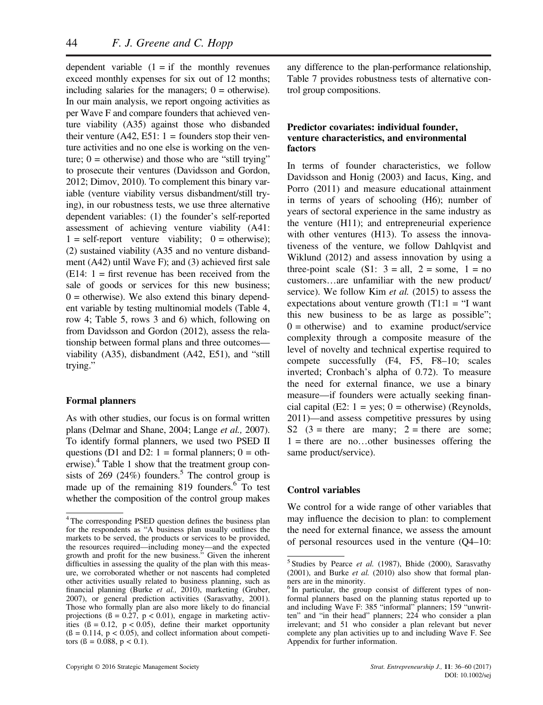dependent variable  $(1 = if the monthly revenues)$ exceed monthly expenses for six out of 12 months; including salaries for the managers;  $0 =$  otherwise). In our main analysis, we report ongoing activities as per Wave F and compare founders that achieved venture viability (A35) against those who disbanded their venture  $(A42, E51: 1 =$  founders stop their venture activities and no one else is working on the venture;  $0 =$  otherwise) and those who are "still trying" to prosecute their ventures (Davidsson and Gordon, 2012; Dimov, 2010). To complement this binary variable (venture viability versus disbandment/still trying), in our robustness tests, we use three alternative dependent variables: (1) the founder's self-reported assessment of achieving venture viability (A41:  $1 = \text{self-report}$  venture viability;  $0 = \text{otherwise}$ ; (2) sustained viability (A35 and no venture disbandment (A42) until Wave F); and (3) achieved first sale  $(E14: 1 =$  first revenue has been received from the sale of goods or services for this new business;  $0 =$  otherwise). We also extend this binary dependent variable by testing multinomial models (Table 4, row 4; Table 5, rows 3 and 6) which, following on from Davidsson and Gordon (2012), assess the relationship between formal plans and three outcomes viability (A35), disbandment (A42, E51), and "still trying."

### **Formal planners**

As with other studies, our focus is on formal written plans (Delmar and Shane, 2004; Lange *et al.,* 2007). To identify formal planners, we used two PSED II questions (D1 and D2:  $1 =$  formal planners;  $0 =$  otherwise). $4$  Table 1 show that the treatment group consists of 269 (24%) founders.<sup>5</sup> The control group is made up of the remaining 819 founders.<sup>6</sup> To test whether the composition of the control group makes

any difference to the plan-performance relationship, Table 7 provides robustness tests of alternative control group compositions.

### **Predictor covariates: individual founder, venture characteristics, and environmental factors**

In terms of founder characteristics, we follow Davidsson and Honig (2003) and Iacus, King, and Porro (2011) and measure educational attainment in terms of years of schooling (H6); number of years of sectoral experience in the same industry as the venture (H11); and entrepreneurial experience with other ventures (H13). To assess the innovativeness of the venture, we follow Dahlqvist and Wiklund (2012) and assess innovation by using a three-point scale  $(S1: 3 = all, 2 = some, 1 = no$ customers…are unfamiliar with the new product/ service). We follow Kim *et al.* (2015) to assess the expectations about venture growth  $(T1:1 = "I want$ this new business to be as large as possible";  $0 =$  otherwise) and to examine product/service complexity through a composite measure of the level of novelty and technical expertise required to compete successfully (F4, F5, F8–10; scales inverted; Cronbach's alpha of 0.72). To measure the need for external finance, we use a binary measure—if founders were actually seeking financial capital (E2:  $1 = yes$ ; 0 = otherwise) (Reynolds, 2011)—and assess competitive pressures by using S2  $(3 = there are many; 2 = there are some;$  $1 =$  there are no...other businesses offering the same product/service).

#### **Control variables**

We control for a wide range of other variables that may influence the decision to plan: to complement the need for external finance, we assess the amount of personal resources used in the venture (Q4–10:

<sup>4</sup> The corresponding PSED question defines the business plan for the respondents as "A business plan usually outlines the markets to be served, the products or services to be provided, the resources required—including money—and the expected growth and profit for the new business." Given the inherent difficulties in assessing the quality of the plan with this measure, we corroborated whether or not nascents had completed other activities usually related to business planning, such as financial planning (Burke *et al.,* 2010), marketing (Gruber, 2007), or general prediction activities (Sarasvathy, 2001). Those who formally plan are also more likely to do financial projections  $(6 = 0.27, p < 0.01)$ , engage in marketing activities  $(\beta = 0.12, p < 0.05)$ , define their market opportunity  $(β = 0.114, p < 0.05)$ , and collect information about competitors ( $\beta = 0.088$ ,  $p < 0.1$ ).

<sup>5</sup> Studies by Pearce *et al.* (1987), Bhide (2000), Sarasvathy (2001), and Burke *et al.* (2010) also show that formal planners are in the minority.

<sup>&</sup>lt;sup>6</sup>In particular, the group consist of different types of nonformal planners based on the planning status reported up to and including Wave F: 385 "informal" planners; 159 "unwritten" and "in their head" planners; 224 who consider a plan irrelevant; and 51 who consider a plan relevant but never complete any plan activities up to and including Wave F. See Appendix for further information.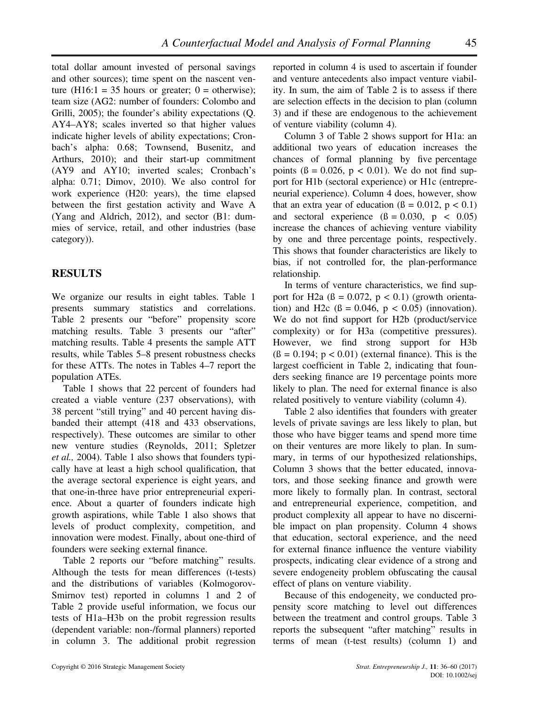total dollar amount invested of personal savings and other sources); time spent on the nascent venture (H16:1 = 35 hours or greater;  $0 =$  otherwise); team size (AG2: number of founders: Colombo and Grilli, 2005); the founder's ability expectations (Q. AY4–AY8; scales inverted so that higher values indicate higher levels of ability expectations; Cronbach's alpha: 0.68; Townsend, Busenitz, and Arthurs, 2010); and their start-up commitment (AY9 and AY10; inverted scales; Cronbach's alpha: 0.71; Dimov, 2010). We also control for work experience (H20: years), the time elapsed between the first gestation activity and Wave A (Yang and Aldrich, 2012), and sector (B1: dummies of service, retail, and other industries (base category)).

## **RESULTS**

We organize our results in eight tables. Table 1 presents summary statistics and correlations. Table 2 presents our "before" propensity score matching results. Table 3 presents our "after" matching results. Table 4 presents the sample ATT results, while Tables 5–8 present robustness checks for these ATTs. The notes in Tables 4–7 report the population ATEs.

Table 1 shows that 22 percent of founders had created a viable venture (237 observations), with 38 percent "still trying" and 40 percent having disbanded their attempt (418 and 433 observations, respectively). These outcomes are similar to other new venture studies (Reynolds, 2011; Spletzer *et al.,* 2004). Table 1 also shows that founders typically have at least a high school qualification, that the average sectoral experience is eight years, and that one-in-three have prior entrepreneurial experience. About a quarter of founders indicate high growth aspirations, while Table 1 also shows that levels of product complexity, competition, and innovation were modest. Finally, about one-third of founders were seeking external finance.

Table 2 reports our "before matching" results. Although the tests for mean differences (t-tests) and the distributions of variables (Kolmogorov-Smirnov test) reported in columns 1 and 2 of Table 2 provide useful information, we focus our tests of H1a–H3b on the probit regression results (dependent variable: non-/formal planners) reported in column 3. The additional probit regression reported in column 4 is used to ascertain if founder and venture antecedents also impact venture viability. In sum, the aim of Table 2 is to assess if there are selection effects in the decision to plan (column 3) and if these are endogenous to the achievement of venture viability (column 4).

Column 3 of Table 2 shows support for H1a: an additional two years of education increases the chances of formal planning by five percentage points  $(8 = 0.026, p < 0.01)$ . We do not find support for H1b (sectoral experience) or H1c (entrepreneurial experience). Column 4 does, however, show that an extra year of education  $(\beta = 0.012, p < 0.1)$ and sectoral experience  $(β = 0.030, p < 0.05)$ increase the chances of achieving venture viability by one and three percentage points, respectively. This shows that founder characteristics are likely to bias, if not controlled for, the plan-performance relationship.

In terms of venture characteristics, we find support for H2a  $(8 = 0.072, p < 0.1)$  (growth orientation) and H2c  $(\beta = 0.046, p < 0.05)$  (innovation). We do not find support for H2b (product/service complexity) or for H3a (competitive pressures). However, we find strong support for H3b  $(6 = 0.194; p < 0.01)$  (external finance). This is the largest coefficient in Table 2, indicating that founders seeking finance are 19 percentage points more likely to plan. The need for external finance is also related positively to venture viability (column 4).

Table 2 also identifies that founders with greater levels of private savings are less likely to plan, but those who have bigger teams and spend more time on their ventures are more likely to plan. In summary, in terms of our hypothesized relationships, Column 3 shows that the better educated, innovators, and those seeking finance and growth were more likely to formally plan. In contrast, sectoral and entrepreneurial experience, competition, and product complexity all appear to have no discernible impact on plan propensity. Column 4 shows that education, sectoral experience, and the need for external finance influence the venture viability prospects, indicating clear evidence of a strong and severe endogeneity problem obfuscating the causal effect of plans on venture viability.

Because of this endogeneity, we conducted propensity score matching to level out differences between the treatment and control groups. Table 3 reports the subsequent "after matching" results in terms of mean (t-test results) (column 1) and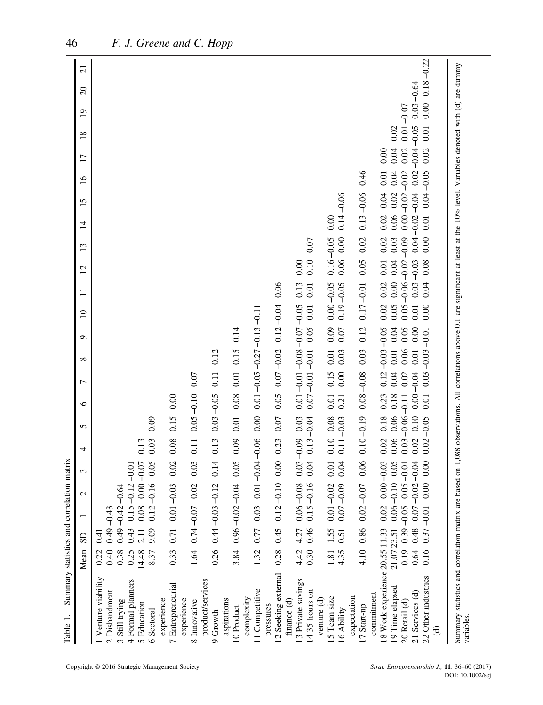| Summary statistics and correlation<br>Table 1.                                                                                                                                                      |              |                 |                                                          |                    | matrix                          |                       |               |                      |                                           |                      |               |                       |               |                              |                      |                 |                        |                       |                                           |                 |  |
|-----------------------------------------------------------------------------------------------------------------------------------------------------------------------------------------------------|--------------|-----------------|----------------------------------------------------------|--------------------|---------------------------------|-----------------------|---------------|----------------------|-------------------------------------------|----------------------|---------------|-----------------------|---------------|------------------------------|----------------------|-----------------|------------------------|-----------------------|-------------------------------------------|-----------------|--|
|                                                                                                                                                                                                     | Mean         | SD <sub>1</sub> |                                                          | 3<br>$\mathcal{L}$ | 4                               | 5                     | $\circ$       | $\overline{ }$       | $\infty$                                  | $\Box$<br>$\circ$    | $\equiv$      | 12                    | 13            | $\overline{1}$               | 15                   | $\overline{16}$ | $\overline{17}$        | $\overline{19}$<br>18 | $\Omega$                                  | $\overline{21}$ |  |
| Venture viability                                                                                                                                                                                   | 0.22         | 0.41            |                                                          |                    |                                 |                       |               |                      |                                           |                      |               |                       |               |                              |                      |                 |                        |                       |                                           |                 |  |
| 2 Disbandment<br>Still trying<br>$\mathfrak{g}$                                                                                                                                                     | 0.40<br>0.38 | $0.49 - 0.43$   | $0.49 - 0.42 - 0.64$                                     |                    |                                 |                       |               |                      |                                           |                      |               |                       |               |                              |                      |                 |                        |                       |                                           |                 |  |
| 4 Formal planners                                                                                                                                                                                   | 0.25         |                 | $0.43$ $0.15 - 0.12$                                     | $-0.01$            |                                 |                       |               |                      |                                           |                      |               |                       |               |                              |                      |                 |                        |                       |                                           |                 |  |
| 5 Education                                                                                                                                                                                         | 14.48        | 2.11            | 0.08                                                     | 0.00               | 0.13<br>$-0.07$                 |                       |               |                      |                                           |                      |               |                       |               |                              |                      |                 |                        |                       |                                           |                 |  |
| 6 Sectoral                                                                                                                                                                                          | 8.37         | 9.09            | $0.12 - 0.16$                                            |                    | 0.03<br>0.05                    | 0.09                  |               |                      |                                           |                      |               |                       |               |                              |                      |                 |                        |                       |                                           |                 |  |
| 7 Entrepreneurial<br>experience                                                                                                                                                                     | 0.33         |                 | $0.71$ $0.01 - 0.03$                                     |                    | 0.08<br>0.02                    | 0.15                  | 0.00          |                      |                                           |                      |               |                       |               |                              |                      |                 |                        |                       |                                           |                 |  |
| experience                                                                                                                                                                                          |              |                 | $1.64$ 0.74 -0.07 0.02                                   |                    | 0.11<br>0.03                    |                       | $0.05 - 0.10$ | 0.07                 |                                           |                      |               |                       |               |                              |                      |                 |                        |                       |                                           |                 |  |
| product/services<br>8 Innovative                                                                                                                                                                    |              |                 |                                                          |                    |                                 |                       |               |                      |                                           |                      |               |                       |               |                              |                      |                 |                        |                       |                                           |                 |  |
| 9 Growth                                                                                                                                                                                            |              |                 | $0.26$ $0.44 - 0.03 - 0.12$                              |                    | 0.13<br>0.14                    |                       | $0.03 - 0.05$ | 0.11                 | 0.12                                      |                      |               |                       |               |                              |                      |                 |                        |                       |                                           |                 |  |
| aspirations<br>10 Product                                                                                                                                                                           |              |                 | $3.84$ 0.96 - 0.02 - 0.04                                |                    | 0.09<br>0.05                    | 0.01                  | 0.08          | 0.01                 | 0.15                                      | 0.14                 |               |                       |               |                              |                      |                 |                        |                       |                                           |                 |  |
| 11 Competitive<br>complexity                                                                                                                                                                        |              |                 | 1.32 0.77 0.03 0.01                                      |                    | $-0.04 - 0.06$                  |                       |               |                      | $0.00$ $0.01 - 0.05 - 0.27 - 0.13 - 0.11$ |                      |               |                       |               |                              |                      |                 |                        |                       |                                           |                 |  |
| 12 Seeking external<br>pressures                                                                                                                                                                    |              |                 | $0.28$ 0.45 0.12 -0.10                                   |                    | 0.000003                        | 0.07                  |               |                      | $0.05$ $0.07 - 0.02$ $0.12 - 0.04$        |                      | 0.06          |                       |               |                              |                      |                 |                        |                       |                                           |                 |  |
| finance $(d)$                                                                                                                                                                                       |              |                 |                                                          |                    |                                 |                       |               |                      |                                           |                      |               |                       |               |                              |                      |                 |                        |                       |                                           |                 |  |
| 13 Private savings<br>14 35 hours on                                                                                                                                                                |              |                 | $4.42$ $4.27$ 0.06 -0.08<br>0.30 0.46 0.15 -0.16         |                    | $0.03 - 0.09$<br>0.04           | 0.03<br>$0.13 - 0.04$ |               | $0.07 - 0.01 - 0.01$ | $0.01 - 0.01 - 0.00 - 0.05$               | $0.01\,$<br>0.05     | 0.13<br>0.01  | 0.10<br>0.00          | 0.07          |                              |                      |                 |                        |                       |                                           |                 |  |
| venture (d)                                                                                                                                                                                         |              |                 |                                                          |                    |                                 |                       |               |                      |                                           |                      |               |                       |               |                              |                      |                 |                        |                       |                                           |                 |  |
| 15 Team size                                                                                                                                                                                        |              | 1.81 1.55       | $0.01 - 0.02$                                            |                    | 0.01                            | 0.10 0.08             | 0.01          | 0.15                 | 0.01                                      | 0.09                 | $0.00 - 0.05$ |                       | $0.16 - 0.05$ | 0.00                         |                      |                 |                        |                       |                                           |                 |  |
| 16 Ability                                                                                                                                                                                          | 4.35         | 0.51            | $0.07 - 0.09$                                            |                    | 0.04                            | $0.11 - 0.03$         | 0.21          | 0.00                 | 0.03                                      | 0.07                 | $0.19 - 0.05$ | 0.06                  | 0.00          | $0.14 - 0.06$                |                      |                 |                        |                       |                                           |                 |  |
| expectation<br>17 Start-up                                                                                                                                                                          |              |                 | 4.10 0.86 0.02 -0.07                                     |                    | 0.06                            | $0.10 - 0.19$         | $0.08 - 0.08$ |                      | 0.03                                      | 0.12                 | $0.17 - 0.01$ | 0.05                  | 0.02          | $0.13 - 0.06$                |                      | 0.46            |                        |                       |                                           |                 |  |
| commitment                                                                                                                                                                                          |              |                 |                                                          |                    |                                 |                       |               |                      |                                           |                      |               |                       |               |                              |                      |                 |                        |                       |                                           |                 |  |
| 18 Work experience 20.55 11.33 0.02 0.00                                                                                                                                                            |              |                 |                                                          |                    | 0.02<br>$-0.03$                 | 0.18                  | 0.23          |                      | $0.12 - 0.03 - 0.05$                      | 0.02                 | 0.02          | 0.01                  | 0.02          | 0.02                         | 0.04                 | 0.01            | 0.00                   |                       |                                           |                 |  |
| 19 Time elapsed                                                                                                                                                                                     |              |                 | $21.0723.51$ 0.06 -0.10<br>0.19 0.39 -0.05 0.05          |                    | 0.06<br>0.05                    | 0.06                  | 0.18          | 0.04                 | 0.01                                      | 0.05<br>0.04         | 0.00          | 0.04                  | 0.03          | 0.06                         | 0.02                 | 0.04            | 0.04                   | 0.02                  |                                           |                 |  |
| 20 Retail (d)                                                                                                                                                                                       |              |                 |                                                          | $-0.01$            | 0.03                            | $-0.06$               | $-0.11$       | 0.02                 | 0.06                                      | 0.05<br>0.05         |               | $-0.06 - 0.02 - 0.09$ |               |                              | $0.00 - 0.02 - 0.02$ |                 | 0.02                   | $0.01 - 0.07$         |                                           |                 |  |
| 22 Other industries<br>21 Services (d)                                                                                                                                                              |              |                 | $0.64$ $0.48$ $0.07 - 0.02$<br>$0.16$ $0.37 - 0.01$ 0.00 |                    | 0.02<br>0.02<br>$-0.04$<br>0.00 | 0.10<br>$-0.05$       | 0.00<br>0.01  | $-0.04$<br>0.03      | $-0.01$<br>$-0.03$<br>0.01                | 0.01<br>0.00<br>0.00 | 0.04          | $0.03 - 0.03$<br>0.08 | 0.00          | $0.04 - 0.02 - 0.04$<br>0.01 | 0.04                 | 0.02<br>$-0.05$ | $-0.04 - 0.05$<br>0.02 | 0.01                  | $0.00 \quad 0.18 - 0.22$<br>$0.03 - 0.64$ |                 |  |
| $\widehat{\mathbf{d}}$                                                                                                                                                                              |              |                 |                                                          |                    |                                 |                       |               |                      |                                           |                      |               |                       |               |                              |                      |                 |                        |                       |                                           |                 |  |
| Summary statistics and correlation matrix are based on 1,088 observations. All correlations above 0.1 are significant at least at the 10% level. Variables denoted with (d) are dummy<br>variables. |              |                 |                                                          |                    |                                 |                       |               |                      |                                           |                      |               |                       |               |                              |                      |                 |                        |                       |                                           |                 |  |
|                                                                                                                                                                                                     |              |                 |                                                          |                    |                                 |                       |               |                      |                                           |                      |               |                       |               |                              |                      |                 |                        |                       |                                           |                 |  |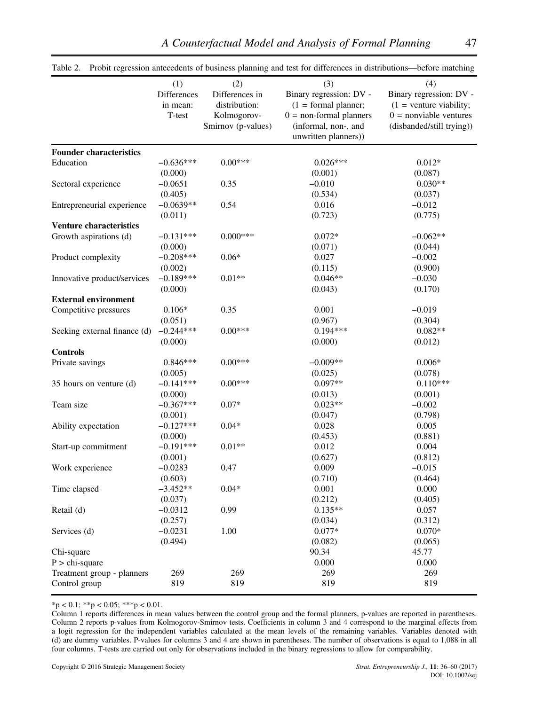|                                | (1)         | (2)                | (3)                       | (4)                       |
|--------------------------------|-------------|--------------------|---------------------------|---------------------------|
|                                | Differences | Differences in     | Binary regression: DV -   | Binary regression: DV -   |
|                                | in mean:    | distribution:      | $(1 = formal planner;$    | $(1 =$ venture viability; |
|                                | T-test      | Kolmogorov-        | $0 =$ non-formal planners | $0 =$ nonviable ventures  |
|                                |             | Smirnov (p-values) | (informal, non-, and      | (disbanded/still trying)) |
|                                |             |                    | unwritten planners))      |                           |
| <b>Founder characteristics</b> |             |                    |                           |                           |
| Education                      | $-0.636***$ | $0.00***$          | $0.026***$                | $0.012*$                  |
|                                | (0.000)     |                    | (0.001)                   | (0.087)                   |
| Sectoral experience            | $-0.0651$   | 0.35               | $-0.010$                  | $0.030**$                 |
|                                | (0.405)     |                    | (0.534)                   | (0.037)                   |
| Entrepreneurial experience     | $-0.0639**$ | 0.54               | 0.016                     | $-0.012$                  |
|                                | (0.011)     |                    | (0.723)                   | (0.775)                   |
| <b>Venture characteristics</b> |             |                    |                           |                           |
| Growth aspirations (d)         | $-0.131***$ | $0.000***$         | $0.072*$                  | $-0.062**$                |
|                                | (0.000)     |                    | (0.071)                   | (0.044)                   |
| Product complexity             | $-0.208***$ | $0.06*$            | 0.027                     | $-0.002$                  |
|                                | (0.002)     |                    | (0.115)                   | (0.900)                   |
| Innovative product/services    | $-0.189***$ | $0.01**$           | $0.046**$                 | $-0.030$                  |
|                                | (0.000)     |                    | (0.043)                   | (0.170)                   |
| <b>External environment</b>    |             |                    |                           |                           |
| Competitive pressures          | $0.106*$    | 0.35               | 0.001                     | $-0.019$                  |
|                                | (0.051)     |                    | (0.967)                   | (0.304)                   |
| Seeking external finance (d)   | $-0.244***$ | $0.00***$          | $0.194***$                | $0.082**$                 |
|                                | (0.000)     |                    | (0.000)                   | (0.012)                   |
| <b>Controls</b>                |             |                    |                           |                           |
| Private savings                | $0.846***$  | $0.00***$          | $-0.009**$                | $0.006*$                  |
|                                | (0.005)     |                    | (0.025)                   | (0.078)                   |
| 35 hours on venture (d)        | $-0.141***$ | $0.00***$          | $0.097**$                 | $0.110***$                |
|                                | (0.000)     |                    | (0.013)                   | (0.001)                   |
| Team size                      | $-0.367***$ | $0.07*$            | $0.023**$                 | $-0.002$                  |
|                                | (0.001)     |                    | (0.047)                   | (0.798)                   |
| Ability expectation            | $-0.127***$ | $0.04*$            | 0.028                     | 0.005                     |
|                                | (0.000)     |                    | (0.453)                   | (0.881)                   |
| Start-up commitment            | $-0.191***$ | $0.01**$           | 0.012                     | 0.004                     |
|                                | (0.001)     |                    | (0.627)                   | (0.812)                   |
| Work experience                | $-0.0283$   | 0.47               | 0.009                     | $-0.015$                  |
|                                | (0.603)     |                    | (0.710)                   | (0.464)                   |
| Time elapsed                   | $-3.452**$  | $0.04*$            | 0.001                     | 0.000                     |
|                                | (0.037)     |                    | (0.212)                   | (0.405)                   |
| Retail (d)                     | $-0.0312$   | 0.99               | $0.135**$                 | 0.057                     |
|                                | (0.257)     |                    | (0.034)                   | (0.312)                   |
| Services (d)                   | $-0.0231$   | 1.00               | $0.077*$                  | $0.070*$                  |
|                                | (0.494)     |                    | (0.082)                   | (0.065)                   |
| Chi-square                     |             |                    | 90.34                     | 45.77                     |
| $P > chi-square$               |             |                    | 0.000                     | 0.000                     |
| Treatment group - planners     | 269         | 269                | 269                       | 269                       |
| Control group                  | 819         | 819                | 819                       | 819                       |
|                                |             |                    |                           |                           |

Table 2. Probit regression antecedents of business planning and test for differences in distributions—before matching

 $*p < 0.1; **p < 0.05; **p < 0.01.$ 

Column 1 reports differences in mean values between the control group and the formal planners, p-values are reported in parentheses. Column 2 reports p-values from Kolmogorov-Smirnov tests. Coefficients in column 3 and 4 correspond to the marginal effects from a logit regression for the independent variables calculated at the mean levels of the remaining variables. Variables denoted with (d) are dummy variables. P-values for columns 3 and 4 are shown in parentheses. The number of observations is equal to 1,088 in all four columns. T-tests are carried out only for observations included in the binary regressions to allow for comparability.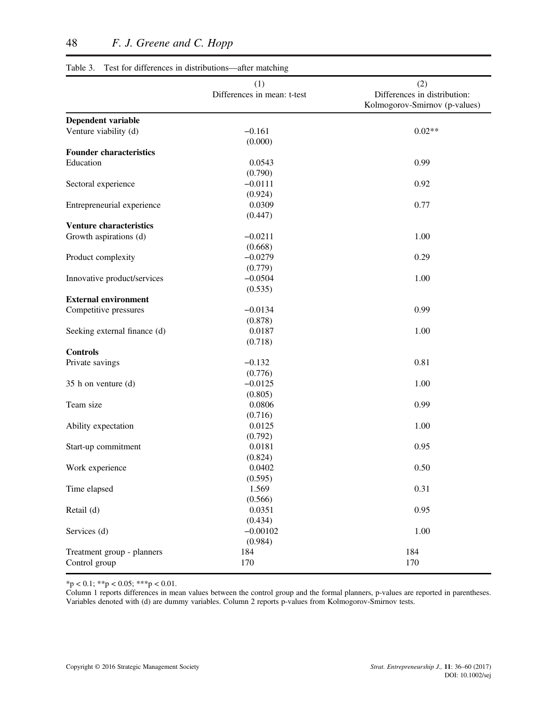| Table 3. Test for differences in distributions-after matching |                                    |                                                                      |
|---------------------------------------------------------------|------------------------------------|----------------------------------------------------------------------|
|                                                               | (1)<br>Differences in mean: t-test | (2)<br>Differences in distribution:<br>Kolmogorov-Smirnov (p-values) |
| Dependent variable                                            |                                    |                                                                      |
| Venture viability (d)                                         | $-0.161$                           | $0.02**$                                                             |
|                                                               | (0.000)                            |                                                                      |
| <b>Founder characteristics</b>                                |                                    |                                                                      |
| Education                                                     | 0.0543                             | 0.99                                                                 |
|                                                               | (0.790)                            |                                                                      |
| Sectoral experience                                           | $-0.0111$                          | 0.92                                                                 |
|                                                               | (0.924)                            |                                                                      |
| Entrepreneurial experience                                    | 0.0309                             | 0.77                                                                 |
|                                                               | (0.447)                            |                                                                      |
| <b>Venture characteristics</b>                                |                                    |                                                                      |
| Growth aspirations (d)                                        | $-0.0211$                          | 1.00                                                                 |
|                                                               | (0.668)                            |                                                                      |
| Product complexity                                            | $-0.0279$                          | 0.29                                                                 |
|                                                               | (0.779)                            |                                                                      |
| Innovative product/services                                   | $-0.0504$                          | 1.00                                                                 |
|                                                               | (0.535)                            |                                                                      |
| <b>External environment</b>                                   |                                    |                                                                      |
| Competitive pressures                                         | $-0.0134$                          | 0.99                                                                 |
|                                                               | (0.878)                            |                                                                      |
| Seeking external finance (d)                                  | 0.0187                             | 1.00                                                                 |
|                                                               | (0.718)                            |                                                                      |
| <b>Controls</b>                                               |                                    |                                                                      |
| Private savings                                               | $-0.132$                           | 0.81                                                                 |
|                                                               | (0.776)                            |                                                                      |
| 35 h on venture (d)                                           | $-0.0125$                          | 1.00                                                                 |
|                                                               | (0.805)                            |                                                                      |
| Team size                                                     | 0.0806                             | 0.99                                                                 |
|                                                               | (0.716)                            |                                                                      |
| Ability expectation                                           | 0.0125                             | 1.00                                                                 |
|                                                               | (0.792)                            |                                                                      |
| Start-up commitment                                           | 0.0181                             | 0.95                                                                 |
|                                                               | (0.824)                            |                                                                      |
| Work experience                                               | 0.0402                             | 0.50                                                                 |
|                                                               | (0.595)                            |                                                                      |
| Time elapsed                                                  | 1.569                              | 0.31                                                                 |
|                                                               | (0.566)                            |                                                                      |
| Retail (d)                                                    | 0.0351                             | 0.95                                                                 |
|                                                               | (0.434)                            |                                                                      |
| Services (d)                                                  | $-0.00102$                         | 1.00                                                                 |
|                                                               | (0.984)                            |                                                                      |
| Treatment group - planners                                    | 184                                | 184                                                                  |
| Control group                                                 | 170                                | 170                                                                  |
|                                                               |                                    |                                                                      |

 $*<sub>p</sub> < 0.1; *<sub>p</sub> < 0.05; *<sub>p</sub> < 0.01.$ 

Column 1 reports differences in mean values between the control group and the formal planners, p-values are reported in parentheses. Variables denoted with (d) are dummy variables. Column 2 reports p-values from Kolmogorov-Smirnov tests.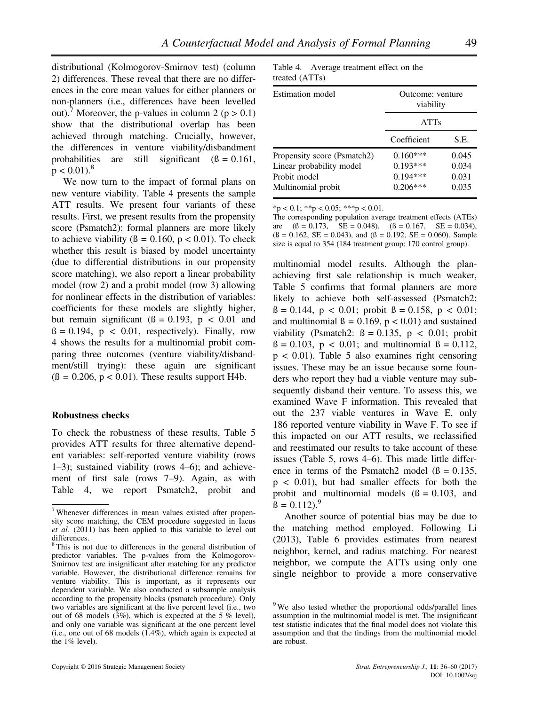distributional (Kolmogorov-Smirnov test) (column 2) differences. These reveal that there are no differences in the core mean values for either planners or non-planners (i.e., differences have been levelled out).<sup>7</sup> Moreover, the p-values in column 2 ( $p > 0.1$ ) show that the distributional overlap has been achieved through matching. Crucially, however, the differences in venture viability/disbandment probabilities are still significant  $(\beta = 0.161,$  $p < 0.01$ ).<sup>8</sup>

We now turn to the impact of formal plans on new venture viability. Table 4 presents the sample ATT results. We present four variants of these results. First, we present results from the propensity score (Psmatch2): formal planners are more likely to achieve viability ( $\beta = 0.160$ ,  $p < 0.01$ ). To check whether this result is biased by model uncertainty (due to differential distributions in our propensity score matching), we also report a linear probability model (row 2) and a probit model (row 3) allowing for nonlinear effects in the distribution of variables: coefficients for these models are slightly higher, but remain significant  $(β = 0.193, p < 0.01$  and  $\beta = 0.194$ ,  $p < 0.01$ , respectively). Finally, row 4 shows the results for a multinomial probit comparing three outcomes (venture viability/disbandment/still trying): these again are significant  $(β = 0.206, p < 0.01)$ . These results support H4b.

#### **Robustness checks**

To check the robustness of these results, Table 5 provides ATT results for three alternative dependent variables: self-reported venture viability (rows 1–3); sustained viability (rows 4–6); and achievement of first sale (rows 7–9). Again, as with Table 4, we report Psmatch2, probit and

| Table 4. Average treatment effect on the |  |  |  |
|------------------------------------------|--|--|--|
| treated (ATTs)                           |  |  |  |

| <b>Estimation model</b>     | Outcome: venture<br>viability |       |
|-----------------------------|-------------------------------|-------|
|                             | <b>ATTs</b>                   |       |
|                             | Coefficient                   | S.E.  |
| Propensity score (Psmatch2) | $0.160***$                    | 0.045 |
| Linear probability model    | $0.193***$                    | 0.034 |
| Probit model                | $0.194***$                    | 0.031 |
| Multinomial probit          | $0.206***$                    | 0.035 |

 $*<sub>p</sub> < 0.1; *<sub>p</sub> < 0.05; *<sub>p</sub> < 0.01.$ 

The corresponding population average treatment effects (ATEs) are  $(ß = 0.173, SE = 0.048), (ß = 0.167, SE = 0.034),$  $(\beta = 0.162, SE = 0.043)$ , and  $(\beta = 0.192, SE = 0.060)$ . Sample size is equal to 354 (184 treatment group; 170 control group).

multinomial model results. Although the planachieving first sale relationship is much weaker, Table 5 confirms that formal planners are more likely to achieve both self-assessed (Psmatch2:  $\beta = 0.144$ ,  $p < 0.01$ ; probit  $\beta = 0.158$ ,  $p < 0.01$ ; and multinomial  $\beta = 0.169$ ,  $p < 0.01$ ) and sustained viability (Psmatch2:  $\beta = 0.135$ ,  $p < 0.01$ ; probit  $\beta = 0.103$ ,  $p < 0.01$ ; and multinomial  $\beta = 0.112$ ,  $p < 0.01$ ). Table 5 also examines right censoring issues. These may be an issue because some founders who report they had a viable venture may subsequently disband their venture. To assess this, we examined Wave F information. This revealed that out the 237 viable ventures in Wave E, only 186 reported venture viability in Wave F. To see if this impacted on our ATT results, we reclassified and reestimated our results to take account of these issues (Table 5, rows 4–6). This made little difference in terms of the Psmatch2 model  $(6 = 0.135,$ p < 0.01), but had smaller effects for both the probit and multinomial models  $(6 = 0.103, \text{ and})$  $\beta = 0.112$ .

Another source of potential bias may be due to the matching method employed. Following Li (2013), Table 6 provides estimates from nearest neighbor, kernel, and radius matching. For nearest neighbor, we compute the ATTs using only one single neighbor to provide a more conservative

 $7$  Whenever differences in mean values existed after propensity score matching, the CEM procedure suggested in Iacus *et al.* (2011) has been applied to this variable to level out differences.

<sup>&</sup>lt;sup>8</sup>This is not due to differences in the general distribution of predictor variables. The p-values from the Kolmogorov-Smirnov test are insignificant after matching for any predictor variable. However, the distributional difference remains for venture viability. This is important, as it represents our dependent variable. We also conducted a subsample analysis according to the propensity blocks (psmatch procedure). Only two variables are significant at the five percent level (i.e., two out of 68 models  $(3\%)$ , which is expected at the 5 % level), and only one variable was significant at the one percent level (i.e., one out of 68 models (1.4%), which again is expected at the 1% level).

<sup>&</sup>lt;sup>9</sup>We also tested whether the proportional odds/parallel lines assumption in the multinomial model is met. The insignificant test statistic indicates that the final model does not violate this assumption and that the findings from the multinomial model are robust.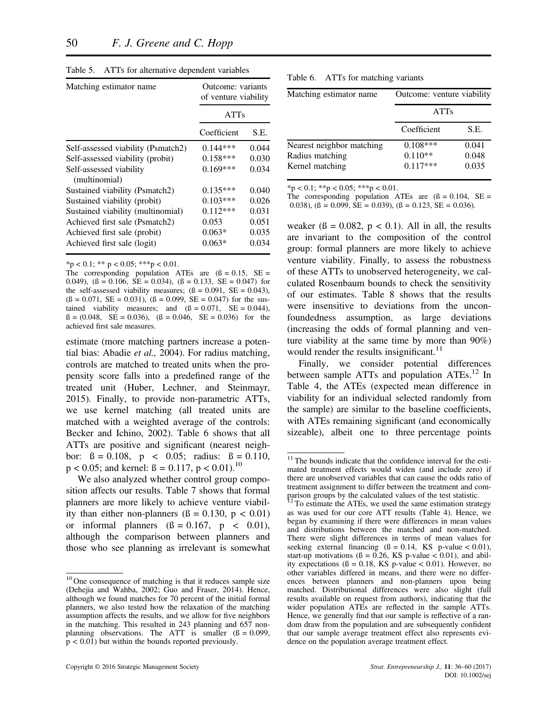| Matching estimator name.                 | Outcome: variants<br>of venture viability |       |
|------------------------------------------|-------------------------------------------|-------|
|                                          | <b>ATTs</b>                               |       |
|                                          | Coefficient                               | S.E.  |
| Self-assessed viability (Psmatch2)       | $0.144***$                                | 0.044 |
| Self-assessed viability (probit)         | $0.158***$                                | 0.030 |
| Self-assessed viability<br>(multinomial) | $0.169***$                                | 0.034 |
| Sustained viability (Psmatch2)           | $0.135***$                                | 0.040 |
| Sustained viability (probit)             | $0.103***$                                | 0.026 |
| Sustained viability (multinomial)        | $0.112***$                                | 0.031 |
| Achieved first sale (Psmatch2)           | 0.053                                     | 0.051 |
| Achieved first sale (probit)             | $0.063*$                                  | 0.035 |
| Achieved first sale (logit)              | $0.063*$                                  | 0.034 |

Table 5. ATTS for alternative dependent variables

 $*$ p < 0.1; \*\* p < 0.05; \*\*\*p < 0.01.

The corresponding population ATEs are  $(8 = 0.15, SE =$ 0.049),  $(\beta = 0.106, \text{ SE} = 0.034)$ ,  $(\beta = 0.133, \text{ SE} = 0.047)$  for the self-assessed viability measures;  $(ß = 0.091, SE = 0.043)$ ,  $(6 = 0.071, SE = 0.031), (6 = 0.099, SE = 0.047)$  for the sustained viability measures; and  $(ß = 0.071, SE = 0.044)$ ,  $\beta = (0.048, \text{ } SE = 0.036), (\beta = 0.046, \text{ } SE = 0.036)$  for the achieved first sale measures.

estimate (more matching partners increase a potential bias: Abadie *et al.,* 2004). For radius matching, controls are matched to treated units when the propensity score falls into a predefined range of the treated unit (Huber, Lechner, and Steinmayr, 2015). Finally, to provide non-parametric ATTs, we use kernel matching (all treated units are matched with a weighted average of the controls: Becker and Ichino, 2002). Table 6 shows that all ATTs are positive and significant (nearest neighbor:  $\beta = 0.108$ ,  $p < 0.05$ ; radius:  $\beta = 0.110$ ,  $p < 0.05$ ; and kernel:  $\beta = 0.117$ ,  $p < 0.01$ ).<sup>10</sup>

We also analyzed whether control group composition affects our results. Table 7 shows that formal planners are more likely to achieve venture viability than either non-planners  $(β = 0.130, p < 0.01)$ or informal planners  $(\beta = 0.167, p < 0.01)$ , although the comparison between planners and those who see planning as irrelevant is somewhat

| Table 6. |  |  | ATTs for matching variants |  |
|----------|--|--|----------------------------|--|
|----------|--|--|----------------------------|--|

| Matching estimator name   | Outcome: venture viability |       |
|---------------------------|----------------------------|-------|
|                           | <b>ATTs</b>                |       |
|                           | Coefficient                | S.E.  |
| Nearest neighbor matching | $0.108***$                 | 0.041 |
| Radius matching           | $0.110**$                  | 0.048 |
| Kernel matching           | $0.117***$                 | 0.035 |

 $*<sub>p</sub> < 0.1; **<sub>p</sub> < 0.05; ***<sub>p</sub> < 0.01.$ 

The corresponding population ATEs are  $(β = 0.104, SE =$ 0.038),  $(\beta = 0.099, SE = 0.039)$ ,  $(\beta = 0.123, SE = 0.036)$ .

weaker ( $\beta = 0.082$ ,  $p < 0.1$ ). All in all, the results are invariant to the composition of the control group: formal planners are more likely to achieve venture viability. Finally, to assess the robustness of these ATTs to unobserved heterogeneity, we calculated Rosenbaum bounds to check the sensitivity of our estimates. Table 8 shows that the results were insensitive to deviations from the unconfoundedness assumption, as large deviations (increasing the odds of formal planning and venture viability at the same time by more than 90%) would render the results insignificant.<sup>11</sup>

Finally, we consider potential differences between sample ATTs and population ATEs.<sup>12</sup> In Table 4, the ATEs (expected mean difference in viability for an individual selected randomly from the sample) are similar to the baseline coefficients, with ATEs remaining significant (and economically sizeable), albeit one to three percentage points

<sup>&</sup>lt;sup>10</sup> One consequence of matching is that it reduces sample size (Dehejia and Wahba, 2002; Guo and Fraser, 2014). Hence, although we found matches for 70 percent of the initial formal planners, we also tested how the relaxation of the matching assumption affects the results, and we allow for five neighbors in the matching. This resulted in 243 planning and 657 nonplanning observations. The ATT is smaller  $(β = 0.099)$ ,  $p < 0.01$ ) but within the bounds reported previously.

 $11$ <sup>11</sup> The bounds indicate that the confidence interval for the estimated treatment effects would widen (and include zero) if there are unobserved variables that can cause the odds ratio of treatment assignment to differ between the treatment and comparison groups by the calculated values of the test statistic.

<sup>12</sup> To estimate the ATEs, we used the same estimation strategy as was used for our core ATT results (Table 4). Hence, we began by examining if there were differences in mean values and distributions between the matched and non-matched. There were slight differences in terms of mean values for seeking external financing  $(β = 0.14, KS p-value < 0.01)$ , start-up motivations ( $\beta = 0.26$ , KS p-value < 0.01), and ability expectations ( $\beta = 0.18$ , KS p-value < 0.01). However, no other variables differed in means, and there were no differences between planners and non-planners upon being matched. Distributional differences were also slight (full results available on request from authors), indicating that the wider population ATEs are reflected in the sample ATTs. Hence, we generally find that our sample is reflective of a random draw from the population and are subsequently confident that our sample average treatment effect also represents evidence on the population average treatment effect.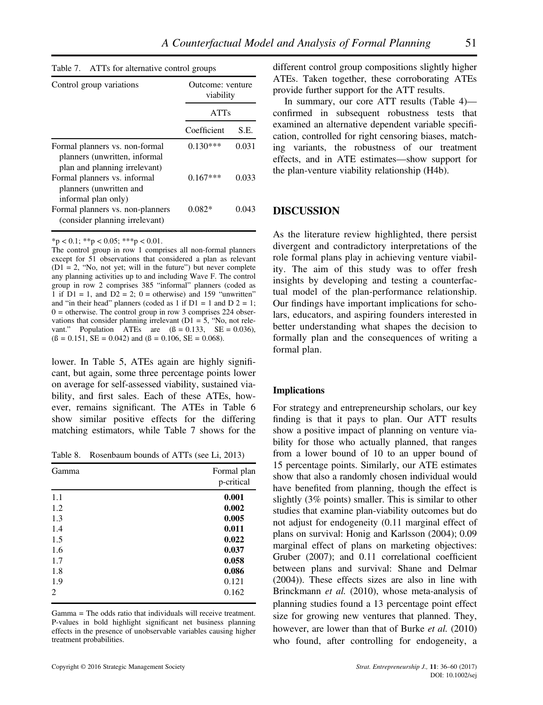| $1$ avic $\prime$ .<br>ATTS TOP and many common groups                                           |                               |       |
|--------------------------------------------------------------------------------------------------|-------------------------------|-------|
| Control group variations                                                                         | Outcome: venture<br>viability |       |
|                                                                                                  | <b>ATTs</b>                   |       |
|                                                                                                  | Coefficient                   | S.E.  |
| Formal planners vs. non-formal<br>planners (unwritten, informal<br>plan and planning irrelevant) | $0.130***$                    | 0.031 |
| Formal planners vs. informal<br>planners (unwritten and<br>informal plan only)                   | $0.167***$                    | 0.033 |
| Formal planners vs. non-planners<br>(consider planning irrelevant)                               | $0.082*$                      | 0.043 |

 $Table 7. A TTR function count$ 

 $*<sub>p</sub> < 0.1; *<sub>p</sub> < 0.05; *<sub>p</sub> < 0.01.$ 

The control group in row 1 comprises all non-formal planners except for 51 observations that considered a plan as relevant  $(D1 = 2,$  "No, not yet; will in the future") but never complete any planning activities up to and including Wave F. The control group in row 2 comprises 385 "informal" planners (coded as 1 if  $D1 = 1$ , and  $D2 = 2$ ; 0 = otherwise) and 159 "unwritten" and "in their head" planners (coded as 1 if  $D1 = 1$  and  $D2 = 1$ ;  $0 =$  otherwise. The control group in row 3 comprises 224 observations that consider planning irrelevant  $(D1 = 5, "No, not$  relevant." Population ATEs are  $(\beta = 0.133, \text{ SE} = 0.036)$ ,  $(\beta = 0.151, SE = 0.042)$  and  $(\beta = 0.106, SE = 0.068)$ .

lower. In Table 5, ATEs again are highly significant, but again, some three percentage points lower on average for self-assessed viability, sustained viability, and first sales. Each of these ATEs, however, remains significant. The ATEs in Table 6 show similar positive effects for the differing matching estimators, while Table 7 shows for the

Table 8. Rosenbaum bounds of ATTs (see Li, 2013)

| Gamma          | Formal plan<br>p-critical |
|----------------|---------------------------|
| 1.1            | 0.001                     |
| 1.2            | 0.002                     |
| 1.3            | 0.005                     |
| 1.4            | 0.011                     |
| 1.5            | 0.022                     |
| 1.6            | 0.037                     |
| 1.7            | 0.058                     |
| 1.8            | 0.086                     |
| 1.9            | 0.121                     |
| $\overline{c}$ | 0.162                     |

Gamma = The odds ratio that individuals will receive treatment. P-values in bold highlight significant net business planning effects in the presence of unobservable variables causing higher treatment probabilities.

different control group compositions slightly higher ATEs. Taken together, these corroborating ATEs provide further support for the ATT results.

In summary, our core ATT results (Table 4) confirmed in subsequent robustness tests that examined an alternative dependent variable specification, controlled for right censoring biases, matching variants, the robustness of our treatment effects, and in ATE estimates—show support for the plan-venture viability relationship (H4b).

## **DISCUSSION**

As the literature review highlighted, there persist divergent and contradictory interpretations of the role formal plans play in achieving venture viability. The aim of this study was to offer fresh insights by developing and testing a counterfactual model of the plan-performance relationship. Our findings have important implications for scholars, educators, and aspiring founders interested in better understanding what shapes the decision to formally plan and the consequences of writing a formal plan.

#### **Implications**

For strategy and entrepreneurship scholars, our key finding is that it pays to plan. Our ATT results show a positive impact of planning on venture viability for those who actually planned, that ranges from a lower bound of 10 to an upper bound of 15 percentage points. Similarly, our ATE estimates show that also a randomly chosen individual would have benefited from planning, though the effect is slightly (3% points) smaller. This is similar to other studies that examine plan-viability outcomes but do not adjust for endogeneity (0.11 marginal effect of plans on survival: Honig and Karlsson (2004); 0.09 marginal effect of plans on marketing objectives: Gruber (2007); and 0.11 correlational coefficient between plans and survival: Shane and Delmar (2004)). These effects sizes are also in line with Brinckmann *et al.* (2010), whose meta-analysis of planning studies found a 13 percentage point effect size for growing new ventures that planned. They, however, are lower than that of Burke *et al.* (2010) who found, after controlling for endogeneity, a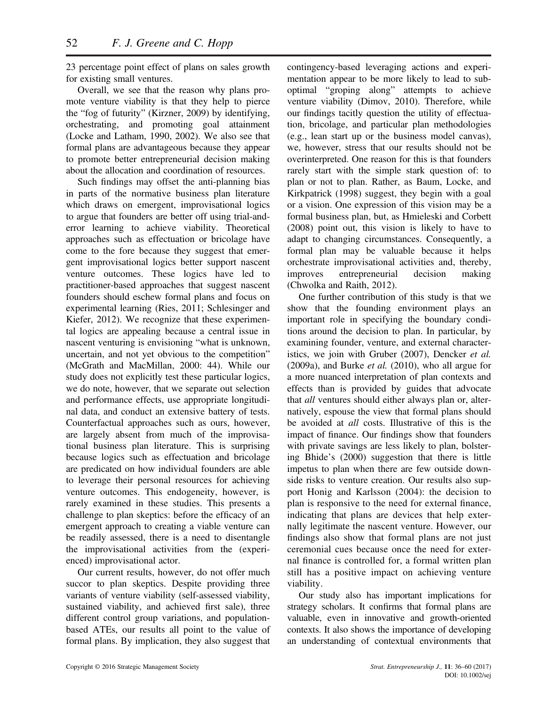23 percentage point effect of plans on sales growth for existing small ventures.

Overall, we see that the reason why plans promote venture viability is that they help to pierce the "fog of futurity" (Kirzner, 2009) by identifying, orchestrating, and promoting goal attainment (Locke and Latham, 1990, 2002). We also see that formal plans are advantageous because they appear to promote better entrepreneurial decision making about the allocation and coordination of resources.

Such findings may offset the anti-planning bias in parts of the normative business plan literature which draws on emergent, improvisational logics to argue that founders are better off using trial-anderror learning to achieve viability. Theoretical approaches such as effectuation or bricolage have come to the fore because they suggest that emergent improvisational logics better support nascent venture outcomes. These logics have led to practitioner-based approaches that suggest nascent founders should eschew formal plans and focus on experimental learning (Ries, 2011; Schlesinger and Kiefer, 2012). We recognize that these experimental logics are appealing because a central issue in nascent venturing is envisioning "what is unknown, uncertain, and not yet obvious to the competition" (McGrath and MacMillan, 2000: 44). While our study does not explicitly test these particular logics, we do note, however, that we separate out selection and performance effects, use appropriate longitudinal data, and conduct an extensive battery of tests. Counterfactual approaches such as ours, however, are largely absent from much of the improvisational business plan literature. This is surprising because logics such as effectuation and bricolage are predicated on how individual founders are able to leverage their personal resources for achieving venture outcomes. This endogeneity, however, is rarely examined in these studies. This presents a challenge to plan skeptics: before the efficacy of an emergent approach to creating a viable venture can be readily assessed, there is a need to disentangle the improvisational activities from the (experienced) improvisational actor.

Our current results, however, do not offer much succor to plan skeptics. Despite providing three variants of venture viability (self-assessed viability, sustained viability, and achieved first sale), three different control group variations, and populationbased ATEs, our results all point to the value of formal plans. By implication, they also suggest that contingency-based leveraging actions and experimentation appear to be more likely to lead to suboptimal "groping along" attempts to achieve venture viability (Dimov, 2010). Therefore, while our findings tacitly question the utility of effectuation, bricolage, and particular plan methodologies (e.g., lean start up or the business model canvas), we, however, stress that our results should not be overinterpreted. One reason for this is that founders rarely start with the simple stark question of: to plan or not to plan. Rather, as Baum, Locke, and Kirkpatrick (1998) suggest, they begin with a goal or a vision. One expression of this vision may be a formal business plan, but, as Hmieleski and Corbett (2008) point out, this vision is likely to have to adapt to changing circumstances. Consequently, a formal plan may be valuable because it helps orchestrate improvisational activities and, thereby, improves entrepreneurial decision making (Chwolka and Raith, 2012).

One further contribution of this study is that we show that the founding environment plays an important role in specifying the boundary conditions around the decision to plan. In particular, by examining founder, venture, and external characteristics, we join with Gruber (2007), Dencker *et al.* (2009a), and Burke *et al.* (2010), who all argue for a more nuanced interpretation of plan contexts and effects than is provided by guides that advocate that *all* ventures should either always plan or, alternatively, espouse the view that formal plans should be avoided at *all* costs. Illustrative of this is the impact of finance. Our findings show that founders with private savings are less likely to plan, bolstering Bhide's (2000) suggestion that there is little impetus to plan when there are few outside downside risks to venture creation. Our results also support Honig and Karlsson (2004): the decision to plan is responsive to the need for external finance, indicating that plans are devices that help externally legitimate the nascent venture. However, our findings also show that formal plans are not just ceremonial cues because once the need for external finance is controlled for, a formal written plan still has a positive impact on achieving venture viability.

Our study also has important implications for strategy scholars. It confirms that formal plans are valuable, even in innovative and growth-oriented contexts. It also shows the importance of developing an understanding of contextual environments that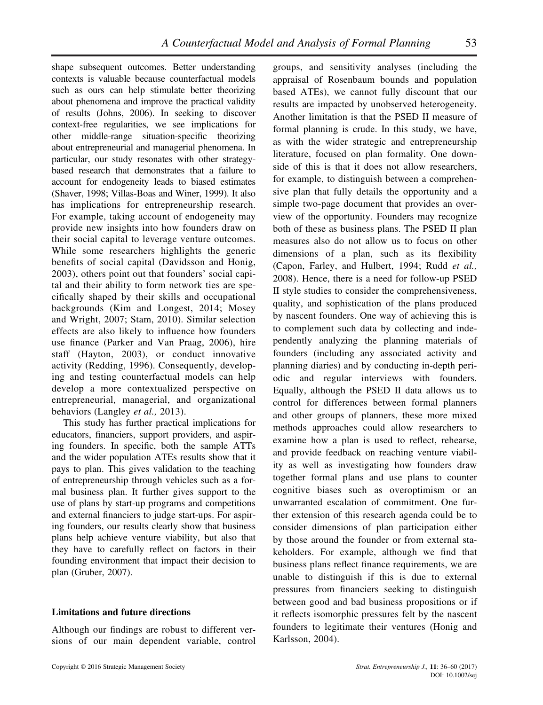shape subsequent outcomes. Better understanding contexts is valuable because counterfactual models such as ours can help stimulate better theorizing about phenomena and improve the practical validity of results (Johns, 2006). In seeking to discover context-free regularities, we see implications for other middle-range situation-specific theorizing about entrepreneurial and managerial phenomena. In particular, our study resonates with other strategybased research that demonstrates that a failure to account for endogeneity leads to biased estimates (Shaver, 1998; Villas-Boas and Winer, 1999). It also has implications for entrepreneurship research. For example, taking account of endogeneity may provide new insights into how founders draw on their social capital to leverage venture outcomes. While some researchers highlights the generic benefits of social capital (Davidsson and Honig, 2003), others point out that founders' social capital and their ability to form network ties are specifically shaped by their skills and occupational backgrounds (Kim and Longest, 2014; Mosey and Wright, 2007; Stam, 2010). Similar selection effects are also likely to influence how founders use finance (Parker and Van Praag, 2006), hire staff (Hayton, 2003), or conduct innovative activity (Redding, 1996). Consequently, developing and testing counterfactual models can help develop a more contextualized perspective on entrepreneurial, managerial, and organizational behaviors (Langley *et al.,* 2013).

This study has further practical implications for educators, financiers, support providers, and aspiring founders. In specific, both the sample ATTs and the wider population ATEs results show that it pays to plan. This gives validation to the teaching of entrepreneurship through vehicles such as a formal business plan. It further gives support to the use of plans by start-up programs and competitions and external financiers to judge start-ups. For aspiring founders, our results clearly show that business plans help achieve venture viability, but also that they have to carefully reflect on factors in their founding environment that impact their decision to plan (Gruber, 2007).

## **Limitations and future directions**

Although our findings are robust to different versions of our main dependent variable, control

groups, and sensitivity analyses (including the appraisal of Rosenbaum bounds and population based ATEs), we cannot fully discount that our results are impacted by unobserved heterogeneity. Another limitation is that the PSED II measure of formal planning is crude. In this study, we have, as with the wider strategic and entrepreneurship literature, focused on plan formality. One downside of this is that it does not allow researchers, for example, to distinguish between a comprehensive plan that fully details the opportunity and a simple two-page document that provides an overview of the opportunity. Founders may recognize both of these as business plans. The PSED II plan measures also do not allow us to focus on other dimensions of a plan, such as its flexibility (Capon, Farley, and Hulbert, 1994; Rudd *et al.,* 2008). Hence, there is a need for follow-up PSED II style studies to consider the comprehensiveness, quality, and sophistication of the plans produced by nascent founders. One way of achieving this is to complement such data by collecting and independently analyzing the planning materials of founders (including any associated activity and planning diaries) and by conducting in-depth periodic and regular interviews with founders. Equally, although the PSED II data allows us to control for differences between formal planners and other groups of planners, these more mixed methods approaches could allow researchers to examine how a plan is used to reflect, rehearse, and provide feedback on reaching venture viability as well as investigating how founders draw together formal plans and use plans to counter cognitive biases such as overoptimism or an unwarranted escalation of commitment. One further extension of this research agenda could be to consider dimensions of plan participation either by those around the founder or from external stakeholders. For example, although we find that business plans reflect finance requirements, we are unable to distinguish if this is due to external pressures from financiers seeking to distinguish between good and bad business propositions or if it reflects isomorphic pressures felt by the nascent founders to legitimate their ventures (Honig and Karlsson, 2004).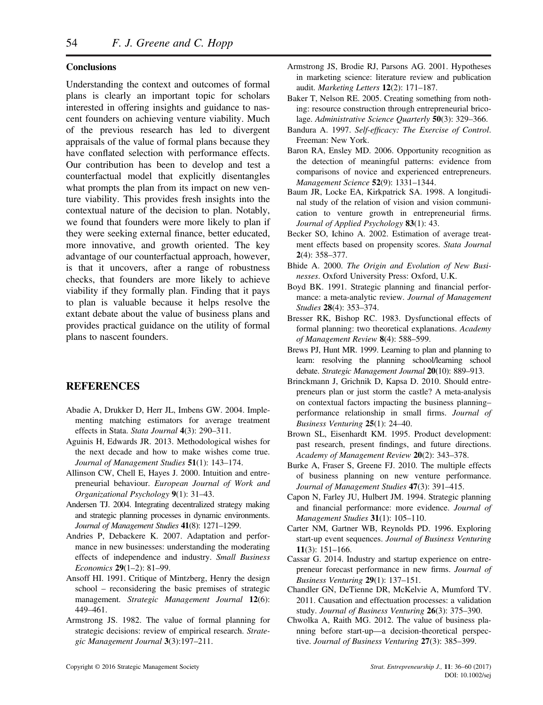## **Conclusions**

Understanding the context and outcomes of formal plans is clearly an important topic for scholars interested in offering insights and guidance to nascent founders on achieving venture viability. Much of the previous research has led to divergent appraisals of the value of formal plans because they have conflated selection with performance effects. Our contribution has been to develop and test a counterfactual model that explicitly disentangles what prompts the plan from its impact on new venture viability. This provides fresh insights into the contextual nature of the decision to plan. Notably, we found that founders were more likely to plan if they were seeking external finance, better educated, more innovative, and growth oriented. The key advantage of our counterfactual approach, however, is that it uncovers, after a range of robustness checks, that founders are more likely to achieve viability if they formally plan. Finding that it pays to plan is valuable because it helps resolve the extant debate about the value of business plans and provides practical guidance on the utility of formal plans to nascent founders.

## **REFERENCES**

- Abadie A, Drukker D, Herr JL, Imbens GW. 2004. Implementing matching estimators for average treatment effects in Stata. *Stata Journal* **4**(3): 290–311.
- Aguinis H, Edwards JR. 2013. Methodological wishes for the next decade and how to make wishes come true. *Journal of Management Studies* **51**(1): 143–174.
- Allinson CW, Chell E, Hayes J. 2000. Intuition and entrepreneurial behaviour. *European Journal of Work and Organizational Psychology* **9**(1): 31–43.
- Andersen TJ. 2004. Integrating decentralized strategy making and strategic planning processes in dynamic environments. *Journal of Management Studies* **41**(8): 1271–1299.
- Andries P, Debackere K. 2007. Adaptation and performance in new businesses: understanding the moderating effects of independence and industry. *Small Business Economics* **29**(1–2): 81–99.
- Ansoff HI. 1991. Critique of Mintzberg, Henry the design school – reconsidering the basic premises of strategic management. *Strategic Management Journal* **12**(6): 449–461.
- Armstrong JS. 1982. The value of formal planning for strategic decisions: review of empirical research. *Strategic Management Journal* **3**(3):197–211.
- Armstrong JS, Brodie RJ, Parsons AG. 2001. Hypotheses in marketing science: literature review and publication audit. *Marketing Letters* **12**(2): 171–187.
- Baker T, Nelson RE. 2005. Creating something from nothing: resource construction through entrepreneurial bricolage. *Administrative Science Quarterly* **50**(3): 329–366.
- Bandura A. 1997. *Self-efficacy: The Exercise of Control*. Freeman: New York.
- Baron RA, Ensley MD. 2006. Opportunity recognition as the detection of meaningful patterns: evidence from comparisons of novice and experienced entrepreneurs. *Management Science* **52**(9): 1331–1344.
- Baum JR, Locke EA, Kirkpatrick SA. 1998. A longitudinal study of the relation of vision and vision communication to venture growth in entrepreneurial firms. *Journal of Applied Psychology* **83**(1): 43.
- Becker SO, Ichino A. 2002. Estimation of average treatment effects based on propensity scores. *Stata Journal* **2**(4): 358–377.
- Bhide A. 2000. *The Origin and Evolution of New Businesses*. Oxford University Press: Oxford, U.K.
- Boyd BK. 1991. Strategic planning and financial performance: a meta-analytic review. *Journal of Management Studies* **28**(4): 353–374.
- Bresser RK, Bishop RC. 1983. Dysfunctional effects of formal planning: two theoretical explanations. *Academy of Management Review* **8**(4): 588–599.
- Brews PJ, Hunt MR. 1999. Learning to plan and planning to learn: resolving the planning school/learning school debate. *Strategic Management Journal* **20**(10): 889–913.
- Brinckmann J, Grichnik D, Kapsa D. 2010. Should entrepreneurs plan or just storm the castle? A meta-analysis on contextual factors impacting the business planning– performance relationship in small firms. *Journal of Business Venturing* **25**(1): 24–40.
- Brown SL, Eisenhardt KM. 1995. Product development: past research, present findings, and future directions. *Academy of Management Review* **20**(2): 343–378.
- Burke A, Fraser S, Greene FJ. 2010. The multiple effects of business planning on new venture performance. *Journal of Management Studies* **47**(3): 391–415.
- Capon N, Farley JU, Hulbert JM. 1994. Strategic planning and financial performance: more evidence. *Journal of Management Studies* **31**(1): 105–110.
- Carter NM, Gartner WB, Reynolds PD. 1996. Exploring start-up event sequences. *Journal of Business Venturing* **11**(3): 151–166.
- Cassar G. 2014. Industry and startup experience on entrepreneur forecast performance in new firms. *Journal of Business Venturing* **29**(1): 137–151.
- Chandler GN, DeTienne DR, McKelvie A, Mumford TV. 2011. Causation and effectuation processes: a validation study. *Journal of Business Venturing* **26**(3): 375–390.
- Chwolka A, Raith MG. 2012. The value of business planning before start-up—a decision-theoretical perspective. *Journal of Business Venturing* **27**(3): 385–399.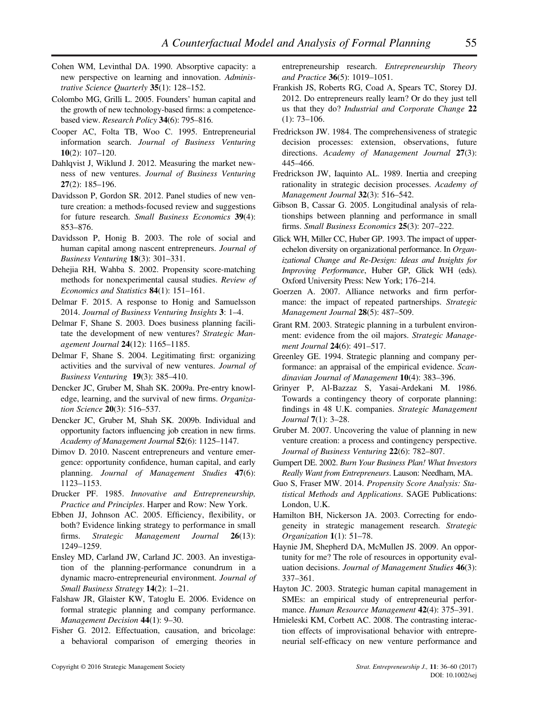- Cohen WM, Levinthal DA. 1990. Absorptive capacity: a new perspective on learning and innovation. *Administrative Science Quarterly* **35**(1): 128–152.
- Colombo MG, Grilli L. 2005. Founders' human capital and the growth of new technology-based firms: a competencebased view. *Research Policy* **34**(6): 795–816.
- Cooper AC, Folta TB, Woo C. 1995. Entrepreneurial information search. *Journal of Business Venturing* **10**(2): 107–120.
- Dahlqvist J, Wiklund J. 2012. Measuring the market newness of new ventures. *Journal of Business Venturing* **27**(2): 185–196.
- Davidsson P, Gordon SR. 2012. Panel studies of new venture creation: a methods-focused review and suggestions for future research. *Small Business Economics* **39**(4): 853–876.
- Davidsson P, Honig B. 2003. The role of social and human capital among nascent entrepreneurs. *Journal of Business Venturing* **18**(3): 301–331.
- Dehejia RH, Wahba S. 2002. Propensity score-matching methods for nonexperimental causal studies. *Review of Economics and Statistics* **84**(1): 151–161.
- Delmar F. 2015. A response to Honig and Samuelsson 2014. *Journal of Business Venturing Insights* **3**: 1–4.
- Delmar F, Shane S. 2003. Does business planning facilitate the development of new ventures? *Strategic Management Journal* **24**(12): 1165–1185.
- Delmar F, Shane S. 2004. Legitimating first: organizing activities and the survival of new ventures. *Journal of Business Venturing* **19**(3): 385–410.
- Dencker JC, Gruber M, Shah SK. 2009a. Pre-entry knowledge, learning, and the survival of new firms. *Organization Science* **20**(3): 516–537.
- Dencker JC, Gruber M, Shah SK. 2009b. Individual and opportunity factors influencing job creation in new firms. *Academy of Management Journal* **52**(6): 1125–1147.
- Dimov D. 2010. Nascent entrepreneurs and venture emergence: opportunity confidence, human capital, and early planning. *Journal of Management Studies* **47**(6): 1123–1153.
- Drucker PF. 1985. *Innovative and Entrepreneurship, Practice and Principles*. Harper and Row: New York.
- Ebben JJ, Johnson AC. 2005. Efficiency, flexibility, or both? Evidence linking strategy to performance in small firms. *Strategic Management Journal* **26**(13): 1249–1259.
- Ensley MD, Carland JW, Carland JC. 2003. An investigation of the planning-performance conundrum in a dynamic macro-entrepreneurial environment. *Journal of Small Business Strategy* **14**(2): 1–21.
- Falshaw JR, Glaister KW, Tatoglu E. 2006. Evidence on formal strategic planning and company performance. *Management Decision* **44**(1): 9–30.
- Fisher G. 2012. Effectuation, causation, and bricolage: a behavioral comparison of emerging theories in

entrepreneurship research. *Entrepreneurship Theory and Practice* **36**(5): 1019–1051.

- Frankish JS, Roberts RG, Coad A, Spears TC, Storey DJ. 2012. [Do entrepreneurs really learn? Or do they just tell](http://sro.sussex.ac.uk/40081/) [us that they do?](http://sro.sussex.ac.uk/40081/) *Industrial and Corporate Change* **22** (1): 73–106.
- Fredrickson JW. 1984. The comprehensiveness of strategic decision processes: extension, observations, future directions. *Academy of Management Journal* **27**(3): 445–466.
- Fredrickson JW, Iaquinto AL. 1989. Inertia and creeping rationality in strategic decision processes. *Academy of Management Journal* **32**(3): 516–542.
- Gibson B, Cassar G. 2005. Longitudinal analysis of relationships between planning and performance in small firms. *Small Business Economics* **25**(3): 207–222.
- Glick WH, Miller CC, Huber GP. 1993. The impact of upperechelon diversity on organizational performance. In *Organizational Change and Re-Design: Ideas and Insights for Improving Performance*, Huber GP, Glick WH (eds). Oxford University Press: New York; 176–214.
- Goerzen A. 2007. Alliance networks and firm performance: the impact of repeated partnerships. *Strategic Management Journal* **28**(5): 487–509.
- Grant RM. 2003. Strategic planning in a turbulent environment: evidence from the oil majors. *Strategic Management Journal* **24**(6): 491–517.
- Greenley GE. 1994. Strategic planning and company performance: an appraisal of the empirical evidence. *Scandinavian Journal of Management* **10**(4): 383–396.
- Grinyer P, Al-Bazzaz S, Yasai-Ardekani M. 1986. Towards a contingency theory of corporate planning: findings in 48 U.K. companies. *Strategic Management Journal* **7**(1): 3–28.
- Gruber M. 2007. Uncovering the value of planning in new venture creation: a process and contingency perspective. *Journal of Business Venturing* **22**(6): 782–807.
- Gumpert DE. 2002. *Burn Your Business Plan! What Investors Really Want from Entrepreneurs*. Lauson: Needham, MA.
- Guo S, Fraser MW. 2014. *Propensity Score Analysis: Statistical Methods and Applications*. SAGE Publications: London, U.K.
- Hamilton BH, Nickerson JA. 2003. Correcting for endogeneity in strategic management research. *Strategic Organization* **1**(1): 51–78.
- Haynie JM, Shepherd DA, McMullen JS. 2009. An opportunity for me? The role of resources in opportunity evaluation decisions. *Journal of Management Studies* **46**(3): 337–361.
- Hayton JC. 2003. Strategic human capital management in SMEs: an empirical study of entrepreneurial performance. *Human Resource Management* **42**(4): 375–391.
- Hmieleski KM, Corbett AC. 2008. The contrasting interaction effects of improvisational behavior with entrepreneurial self-efficacy on new venture performance and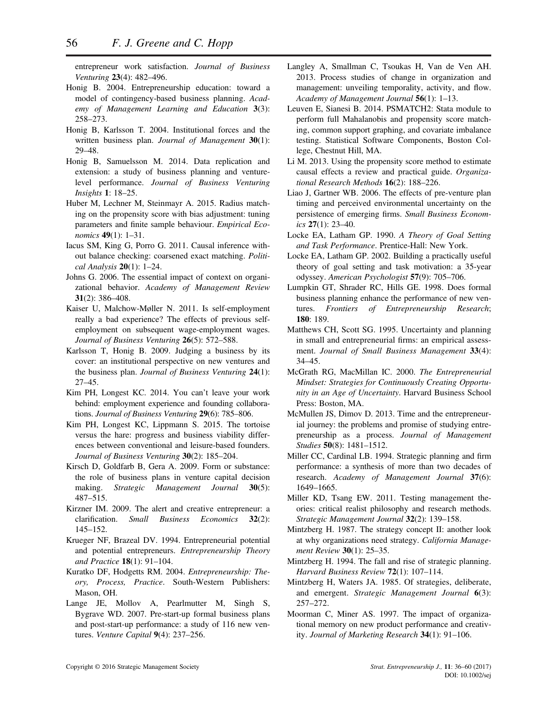entrepreneur work satisfaction. *Journal of Business Venturing* **23**(4): 482–496.

- Honig B. 2004. Entrepreneurship education: toward a model of contingency-based business planning. *Academy of Management Learning and Education* **3**(3): 258–273.
- Honig B, Karlsson T. 2004. Institutional forces and the written business plan. *Journal of Management* **30**(1): 29–48.
- Honig B, Samuelsson M. 2014. Data replication and extension: a study of business planning and venturelevel performance. *Journal of Business Venturing Insights* **1**: 18–25.
- Huber M, Lechner M, Steinmayr A. 2015. Radius matching on the propensity score with bias adjustment: tuning parameters and finite sample behaviour. *Empirical Economics* **49**(1): 1–31.
- Iacus SM, King G, Porro G. 2011. Causal inference without balance checking: coarsened exact matching. *Political Analysis* **20**(1): 1–24.
- Johns G. 2006. The essential impact of context on organizational behavior. *Academy of Management Review* **31**(2): 386–408.
- Kaiser U, Malchow-Møller N. 2011. Is self-employment really a bad experience? The effects of previous selfemployment on subsequent wage-employment wages. *Journal of Business Venturing* **26**(5): 572–588.
- Karlsson T, Honig B. 2009. Judging a business by its cover: an institutional perspective on new ventures and the business plan. *Journal of Business Venturing* **24**(1): 27–45.
- Kim PH, Longest KC. 2014. You can't leave your work behind: employment experience and founding collaborations. *Journal of Business Venturing* **29**(6): 785–806.
- Kim PH, Longest KC, Lippmann S. 2015. The tortoise versus the hare: progress and business viability differences between conventional and leisure-based founders. *Journal of Business Venturing* **30**(2): 185–204.
- Kirsch D, Goldfarb B, Gera A. 2009. Form or substance: the role of business plans in venture capital decision making. *Strategic Management Journal* **30**(5): 487–515.
- Kirzner IM. 2009. The alert and creative entrepreneur: a clarification. *Small Business Economics* **32**(2): 145–152.
- Krueger NF, Brazeal DV. 1994. Entrepreneurial potential and potential entrepreneurs. *Entrepreneurship Theory and Practice* **18**(1): 91–104.
- Kuratko DF, Hodgetts RM. 2004. *Entrepreneurship: Theory, Process, Practice*. South-Western Publishers: Mason, OH.
- Lange JE, Mollov A, Pearlmutter M, Singh S, Bygrave WD. 2007. Pre-start-up formal business plans and post-start-up performance: a study of 116 new ventures. *Venture Capital* **9**(4): 237–256.
- Langley A, Smallman C, Tsoukas H, Van de Ven AH. 2013. Process studies of change in organization and management: unveiling temporality, activity, and flow. *Academy of Management Journal* **56**(1): 1–13.
- Leuven E, Sianesi B. 2014. PSMATCH2: Stata module to perform full Mahalanobis and propensity score matching, common support graphing, and covariate imbalance testing. Statistical Software Components, Boston College, Chestnut Hill, MA.
- Li M. 2013. Using the propensity score method to estimate causal effects a review and practical guide. *Organizational Research Methods* **16**(2): 188–226.
- Liao J, Gartner WB. 2006. The effects of pre-venture plan timing and perceived environmental uncertainty on the persistence of emerging firms. *Small Business Economics* **27**(1): 23–40.
- Locke EA, Latham GP. 1990. *A Theory of Goal Setting and Task Performance*. Prentice-Hall: New York.
- Locke EA, Latham GP. 2002. Building a practically useful theory of goal setting and task motivation: a 35-year odyssey. *American Psychologist* **57**(9): 705–706.
- Lumpkin GT, Shrader RC, Hills GE. 1998. Does formal business planning enhance the performance of new ventures. *Frontiers of Entrepreneurship Research*; **180**: 189.
- Matthews CH, Scott SG. 1995. Uncertainty and planning in small and entrepreneurial firms: an empirical assessment. *Journal of Small Business Management* **33**(4): 34–45.
- McGrath RG, MacMillan IC. 2000. *The Entrepreneurial Mindset: Strategies for Continuously Creating Opportunity in an Age of Uncertainty*. Harvard Business School Press: Boston, MA.
- McMullen JS, Dimov D. 2013. Time and the entrepreneurial journey: the problems and promise of studying entrepreneurship as a process. *Journal of Management Studies* **50**(8): 1481–1512.
- Miller CC, Cardinal LB. 1994. Strategic planning and firm performance: a synthesis of more than two decades of research. *Academy of Management Journal* **37**(6): 1649–1665.
- Miller KD, Tsang EW. 2011. Testing management theories: critical realist philosophy and research methods. *Strategic Management Journal* **32**(2): 139–158.
- Mintzberg H. 1987. The strategy concept II: another look at why organizations need strategy. *California Management Review* **30**(1): 25–35.
- Mintzberg H. 1994. The fall and rise of strategic planning. *Harvard Business Review* **72**(1): 107–114.
- Mintzberg H, Waters JA. 1985. Of strategies, deliberate, and emergent. *Strategic Management Journal* **6**(3): 257–272.
- Moorman C, Miner AS. 1997. The impact of organizational memory on new product performance and creativity. *Journal of Marketing Research* **34**(1): 91–106.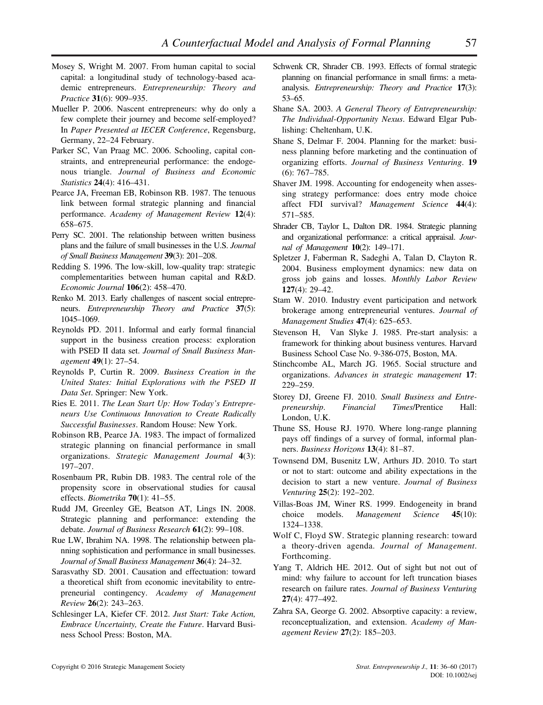- Mosey S, Wright M. 2007. From human capital to social capital: a longitudinal study of technology-based academic entrepreneurs. *Entrepreneurship: Theory and Practice* **31**(6): 909–935.
- Mueller P. 2006. Nascent entrepreneurs: why do only a few complete their journey and become self-employed? In *Paper Presented at IECER Conference*, Regensburg, Germany, 22–24 February.
- Parker SC, Van Praag MC. 2006. Schooling, capital constraints, and entrepreneurial performance: the endogenous triangle. *Journal of Business and Economic Statistics* **24**(4): 416–431.
- Pearce JA, Freeman EB, Robinson RB. 1987. The tenuous link between formal strategic planning and financial performance. *Academy of Management Review* **12**(4): 658–675.
- Perry SC. 2001. The relationship between written business plans and the failure of small businesses in the U.S. *Journal of Small Business Management* **39**(3): 201–208.
- Redding S. 1996. The low-skill, low-quality trap: strategic complementarities between human capital and R&D. *Economic Journal* **106**(2): 458–470.
- Renko M. 2013. Early challenges of nascent social entrepreneurs. *Entrepreneurship Theory and Practice* **37**(5): 1045–1069.
- Reynolds PD. 2011. Informal and early formal financial support in the business creation process: exploration with PSED II data set. *Journal of Small Business Management* **49**(1): 27–54.
- Reynolds P, Curtin R. 2009. *Business Creation in the United States: Initial Explorations with the PSED II Data Set*. Springer: New York.
- Ries E. 2011. *The Lean Start Up: How Today's Entrepreneurs Use Continuous Innovation to Create Radically Successful Businesses*. Random House: New York.
- Robinson RB, Pearce JA. 1983. The impact of formalized strategic planning on financial performance in small organizations. *Strategic Management Journal* **4**(3): 197–207.
- Rosenbaum PR, Rubin DB. 1983. The central role of the propensity score in observational studies for causal effects. *Biometrika* **70**(1): 41–55.
- Rudd JM, Greenley GE, Beatson AT, Lings IN. 2008. Strategic planning and performance: extending the debate. *Journal of Business Research* **61**(2): 99–108.
- Rue LW, Ibrahim NA. 1998. The relationship between planning sophistication and performance in small businesses. *Journal of Small Business Management* **36**(4): 24–32.
- Sarasvathy SD. 2001. Causation and effectuation: toward a theoretical shift from economic inevitability to entrepreneurial contingency. *Academy of Management Review* **26**(2): 243–263.
- Schlesinger LA, Kiefer CF. 2012. *Just Start: Take Action, Embrace Uncertainty, Create the Future*. Harvard Business School Press: Boston, MA.
- Schwenk CR, Shrader CB. 1993. Effects of formal strategic planning on financial performance in small firms: a metaanalysis. *Entrepreneurship: Theory and Practice* **17**(3): 53–65.
- Shane SA. 2003. *A General Theory of Entrepreneurship: The Individual-Opportunity Nexus*. Edward Elgar Publishing: Cheltenham, U.K.
- Shane S, Delmar F. 2004. Planning for the market: business planning before marketing and the continuation of organizing efforts. *Journal of Business Venturing*. **19** (6): 767–785.
- Shaver JM. 1998. Accounting for endogeneity when assessing strategy performance: does entry mode choice affect FDI survival? *Management Science* **44**(4): 571–585.
- Shrader CB, Taylor L, Dalton DR. 1984. Strategic planning and organizational performance: a critical appraisal. *Journal of Management* **10**(2): 149–171.
- Spletzer J, Faberman R, Sadeghi A, Talan D, Clayton R. 2004. Business employment dynamics: new data on gross job gains and losses. *Monthly Labor Review* **127**(4): 29–42.
- Stam W. 2010. Industry event participation and network brokerage among entrepreneurial ventures. *Journal of Management Studies* **47**(4): 625–653.
- Stevenson H, Van Slyke J. 1985. Pre-start analysis: a framework for thinking about business ventures. Harvard Business School Case No. 9-386-075, Boston, MA.
- Stinchcombe AL, March JG. 1965. Social structure and organizations. *Advances in strategic management* **17**: 229–259.
- Storey DJ, Greene FJ. 2010. *Small Business and Entrepreneurship*. *Financial Times*/Prentice Hall: London, U.K.
- Thune SS, House RJ. 1970. Where long-range planning pays off findings of a survey of formal, informal planners. *Business Horizons* **13**(4): 81–87.
- Townsend DM, Busenitz LW, Arthurs JD. 2010. To start or not to start: outcome and ability expectations in the decision to start a new venture. *Journal of Business Venturing* **25**(2): 192–202.
- Villas-Boas JM, Winer RS. 1999. Endogeneity in brand choice models. *Management Science* **45**(10): 1324–1338.
- Wolf C, Floyd SW. Strategic planning research: toward a theory-driven agenda. *Journal of Management*. Forthcoming.
- Yang T, Aldrich HE. 2012. Out of sight but not out of mind: why failure to account for left truncation biases research on failure rates. *Journal of Business Venturing* **27**(4): 477–492.
- Zahra SA, George G. 2002. Absorptive capacity: a review, reconceptualization, and extension. *Academy of Management Review* **27**(2): 185–203.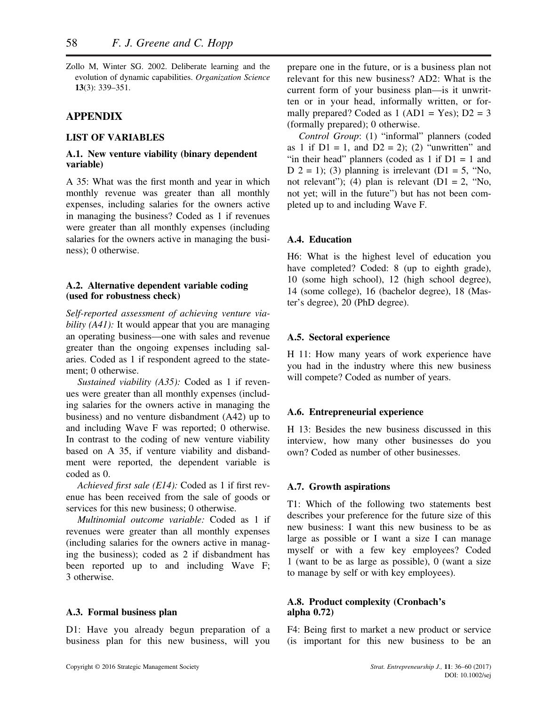Zollo M, Winter SG. 2002. Deliberate learning and the evolution of dynamic capabilities. *Organization Science* **13**(3): 339–351.

## **APPENDIX**

### **LIST OF VARIABLES**

## **A.1. New venture viability (binary dependent variable)**

A 35: What was the first month and year in which monthly revenue was greater than all monthly expenses, including salaries for the owners active in managing the business? Coded as 1 if revenues were greater than all monthly expenses (including salaries for the owners active in managing the business); 0 otherwise.

### **A.2. Alternative dependent variable coding (used for robustness check)**

*Self-reported assessment of achieving venture viability (A41)*: It would appear that you are managing an operating business—one with sales and revenue greater than the ongoing expenses including salaries. Coded as 1 if respondent agreed to the statement; 0 otherwise.

*Sustained viability (A35):* Coded as 1 if revenues were greater than all monthly expenses (including salaries for the owners active in managing the business) and no venture disbandment (A42) up to and including Wave F was reported; 0 otherwise. In contrast to the coding of new venture viability based on A 35, if venture viability and disbandment were reported, the dependent variable is coded as 0.

*Achieved first sale (E14):* Coded as 1 if first revenue has been received from the sale of goods or services for this new business; 0 otherwise

*Multinomial outcome variable:* Coded as 1 if revenues were greater than all monthly expenses (including salaries for the owners active in managing the business); coded as 2 if disbandment has been reported up to and including Wave F; 3 otherwise.

#### **A.3. Formal business plan**

D1: Have you already begun preparation of a business plan for this new business, will you prepare one in the future, or is a business plan not relevant for this new business? AD2: What is the current form of your business plan—is it unwritten or in your head, informally written, or formally prepared? Coded as  $1 (AD1 = Yes)$ ;  $D2 = 3$ (formally prepared); 0 otherwise.

*Control Group*: (1) "informal" planners (coded as 1 if  $D1 = 1$ , and  $D2 = 2$ ); (2) "unwritten" and "in their head" planners (coded as  $1$  if  $D1 = 1$  and D  $2 = 1$ ); (3) planning is irrelevant (D1 = 5, "No, not relevant"); (4) plan is relevant  $(D1 = 2, "No, ...)$ not yet; will in the future") but has not been completed up to and including Wave F.

## **A.4. Education**

H6: What is the highest level of education you have completed? Coded: 8 (up to eighth grade), 10 (some high school), 12 (high school degree), 14 (some college), 16 (bachelor degree), 18 (Master's degree), 20 (PhD degree).

#### **A.5. Sectoral experience**

H 11: How many years of work experience have you had in the industry where this new business will compete? Coded as number of years.

#### **A.6. Entrepreneurial experience**

H 13: Besides the new business discussed in this interview, how many other businesses do you own? Coded as number of other businesses.

#### **A.7. Growth aspirations**

T1: Which of the following two statements best describes your preference for the future size of this new business: I want this new business to be as large as possible or I want a size I can manage myself or with a few key employees? Coded 1 (want to be as large as possible), 0 (want a size to manage by self or with key employees).

## **A.8. Product complexity (Cronbach's alpha 0.72)**

F4: Being first to market a new product or service (is important for this new business to be an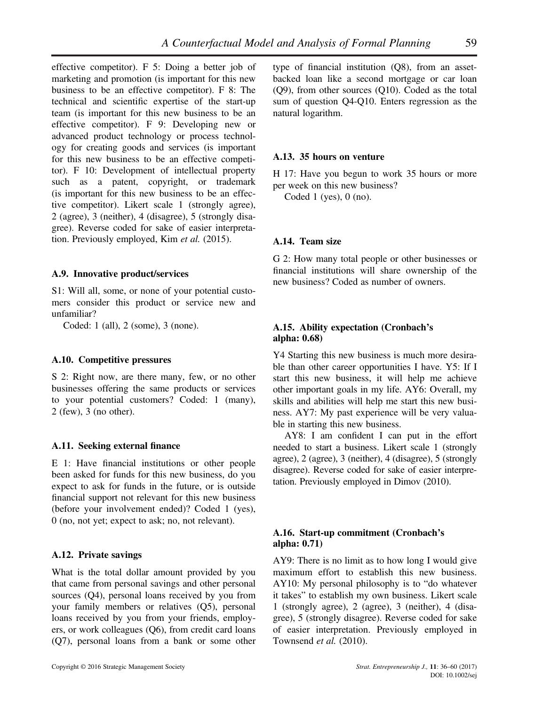effective competitor). F 5: Doing a better job of marketing and promotion (is important for this new business to be an effective competitor). F 8: The technical and scientific expertise of the start-up team (is important for this new business to be an effective competitor). F 9: Developing new or advanced product technology or process technology for creating goods and services (is important for this new business to be an effective competitor). F 10: Development of intellectual property such as a patent, copyright, or trademark (is important for this new business to be an effective competitor). Likert scale 1 (strongly agree), 2 (agree), 3 (neither), 4 (disagree), 5 (strongly disagree). Reverse coded for sake of easier interpretation. Previously employed, Kim *et al.* (2015).

#### **A.9. Innovative product/services**

S1: Will all, some, or none of your potential customers consider this product or service new and unfamiliar?

Coded: 1 (all), 2 (some), 3 (none).

#### **A.10. Competitive pressures**

S 2: Right now, are there many, few, or no other businesses offering the same products or services to your potential customers? Coded: 1 (many), 2 (few), 3 (no other).

#### **A.11. Seeking external finance**

E 1: Have financial institutions or other people been asked for funds for this new business, do you expect to ask for funds in the future, or is outside financial support not relevant for this new business (before your involvement ended)? Coded 1 (yes), 0 (no, not yet; expect to ask; no, not relevant).

### **A.12. Private savings**

What is the total dollar amount provided by you that came from personal savings and other personal sources (Q4), personal loans received by you from your family members or relatives (Q5), personal loans received by you from your friends, employers, or work colleagues (Q6), from credit card loans (Q7), personal loans from a bank or some other type of financial institution (Q8), from an assetbacked loan like a second mortgage or car loan (Q9), from other sources (Q10). Coded as the total sum of question Q4-Q10. Enters regression as the natural logarithm.

#### **A.13. 35 hours on venture**

H 17: Have you begun to work 35 hours or more per week on this new business?

Coded 1 (yes), 0 (no).

#### **A.14. Team size**

G 2: How many total people or other businesses or financial institutions will share ownership of the new business? Coded as number of owners.

### **A.15. Ability expectation (Cronbach's alpha: 0.68)**

Y4 Starting this new business is much more desirable than other career opportunities I have. Y5: If I start this new business, it will help me achieve other important goals in my life. AY6: Overall, my skills and abilities will help me start this new business. AY7: My past experience will be very valuable in starting this new business.

AY8: I am confident I can put in the effort needed to start a business. Likert scale 1 (strongly agree), 2 (agree), 3 (neither), 4 (disagree), 5 (strongly disagree). Reverse coded for sake of easier interpretation. Previously employed in Dimov (2010).

### **A.16. Start-up commitment (Cronbach's alpha: 0.71)**

AY9: There is no limit as to how long I would give maximum effort to establish this new business. AY10: My personal philosophy is to "do whatever it takes" to establish my own business. Likert scale 1 (strongly agree), 2 (agree), 3 (neither), 4 (disagree), 5 (strongly disagree). Reverse coded for sake of easier interpretation. Previously employed in Townsend *et al.* (2010).